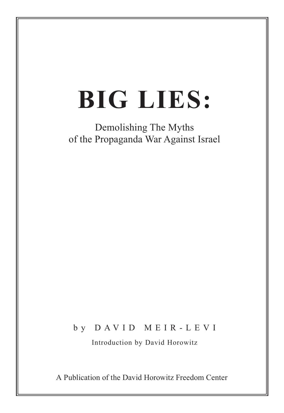# **BIG LIES:**

# Demolishing The Myths of the Propaganda War Against Israel

#### b y D A V I D M E I R - L E V I

Introduction by David Horowitz

A Publication of the David Horowitz Freedom Center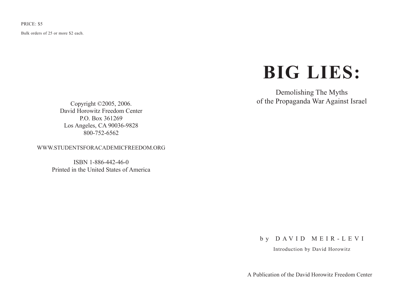price: \$5

Bulk orders of 25 or more \$2 each.

# **BIG LIES:**

Demolishing The Myths of the Propaganda War Against Israel

Copyright ©2005, 2006. David Horowitz Freedom Center P.O. Box 361269 Los Angeles, CA 90036-9828 800-752-6562

www.studentsforacademicfreedom.org

ISBN 1-886-442-46-0 Printed in the United States of America

#### b y D A V I D M E I R - L E V I

Introduction by David Horowitz

A Publication of the David Horowitz Freedom Center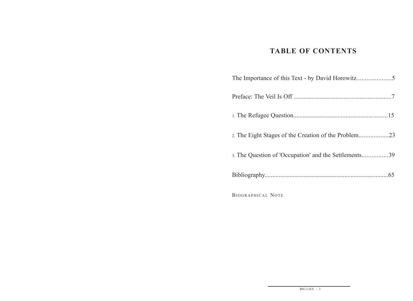# **Table Of Contents**

| 3. The Question of 'Occupation' and the Settlements39 |
|-------------------------------------------------------|
|                                                       |
|                                                       |

BIOGRAPHICAL NOTE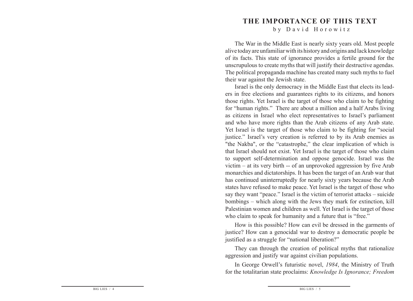### **r the IMPORTANCE OF THIS TEXT** by David Horowitz

The War in the Middle East is nearly sixty years old. Most people alive today are unfamiliar with its history and origins and lack knowledge of its facts. This state of ignorance provides a fertile ground for the unscrupulous to create myths that will justify their destructive agendas. The political propaganda machine has created many such myths to fuel their war against the Jewish state.

Israel is the only democracy in the Middle East that elects its lead ers in free elections and guarantees rights to its citizens, and honors those rights. Yet Israel is the target of those who claim to be fighting for "human rights." There are about a million and a half Arabs living as citizens in Israel who elect representatives to Israel's parliament and who have more rights than the Arab citizens of any Arab state. Yet Israel is the target of those who claim to be fighting for "social justice." Israel's very creation is referred to by its Arab enemies as "the Nakba", or the "catastrophe," the clear implication of which is that Israel should not exist. Yet Israel is the target of those who claim to support self-determination and oppose genocide. Israel was the victim – at its very birth -- of an unprovoked aggression by five Arab monarchies and dictatorships. It has been the target of an Arab war that has continued uninterruptedly for nearly sixty years because the Arab states have refused to make peace. Yet Israel is the target of those who say they want "peace." Israel is the victim of terrorist attacks – suicide bombings – which along with the Jews they mark for extinction, kill Palestinian women and children as well. Yet Israel is the target of those who claim to speak for humanity and a future that is "free."

How is this possible? How can evil be dressed in the garments of justice? How can a genocidal war to destroy a democratic people be justified as a struggle for "national liberation?"

They can through the creation of political myths that rationalize aggression and justify war against civilian populations.

In George Orwell's futuristic novel, *1984*, the Ministry of Truth for the totalitarian state proclaims: *Knowledge Is Ignorance; Freedom*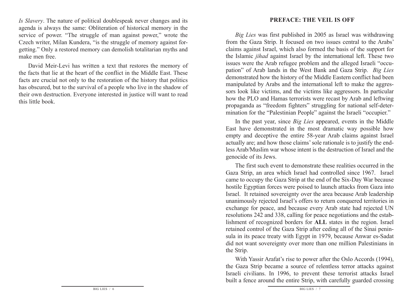*Is Slavery*. The nature of political doublespeak never changes and its agenda is always the same: Obliteration of historical memory in the service of power. "The struggle of man against power," wrote the Czech writer, Milan Kundera, "is the struggle of memory against forgetting." Only a restored memory can demolish totalitarian myths and make men free.

David Meir-Levi has written a text that restores the memory of the facts that lie at the heart of the conflict in the Middle East. These facts are crucial not only to the restoration of the history that politics has obscured, but to the survival of a people who live in the shadow of their own destruction. Everyone interested in justice will want to read this little book.

#### **PREFACE: The Veil is Off**

*Big Lies* was first published in 2005 as Israel was withdrawing from the Gaza Strip. It focused on two issues central to the Arabs' claims against Israel, which also formed the basis of the support for the Islamic *jihad* against Israel by the international left. These two issues were the Arab refugee problem and the alleged Israeli "occupation" of Arab lands in the West Bank and Gaza Strip. *Big Lies*  demonstrated how the history of the Middle Eastern conflict had been manipulated by Arabs and the international left to make the aggressors look like victims, and the victims like aggressors. In particular how the PLO and Hamas terrorists were recast by Arab and leftwing propaganda as "freedom fighters" struggling for national self-determination for the "Palestinian People" against the Israeli "occupier."

In the past year, since *Big Lies* appeared, events in the Middle East have demonstrated in the most dramatic way possible how empty and deceptive the entire 58-year Arab claims against Israel actually are; and how those claims' sole rationale is to justify the endless Arab/Muslim war whose intent is the destruction of Israel and the genocide of its Jews.

The first such event to demonstrate these realities occurred in the Gaza Strip, an area which Israel had controlled since 1967. Israel came to occupy the Gaza Strip at the end of the Six-Day War because hostile Egyptian forces were poised to launch attacks from Gaza into Israel. It retained sovereignty over the area because Arab leadership unanimously rejected Israel's offers to return conquered territories in exchange for peace, and because every Arab state had rejected UN resolutions 242 and 338, calling for peace negotiations and the establishment of recognized borders for **ALL** states in the region. Israel retained control of the Gaza Strip after ceding all of the Sinai peninsula in its peace treaty with Egypt in 1979, because Anwar es-Sadat did not want sovereignty over more than one million Palestinians in the Strip.

With Yassir Arafat's rise to power after the Oslo Accords (1994), the Gaza Strip became a source of relentless terror attacks against Israeli civilians. In 1996, to prevent these terrorist attacks Israel built a fence around the entire Strip, with carefully guarded crossing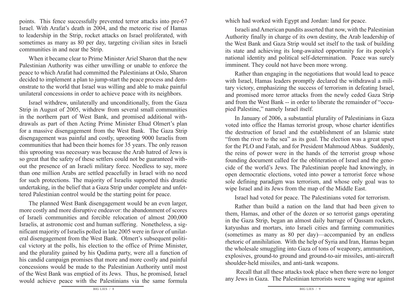points. This fence successfully prevented terror attacks into pre-67 Israel. With Arafat's death in 2004, and the meteoric rise of Hamas to leadership in the Strip, rocket attacks on Israel proliferated, with sometimes as many as 80 per day, targeting civilian sites in Israeli communities in and near the Strip.

When it became clear to Prime Minister Ariel Sharon that the new Palestinian Authority was either unwilling or unable to enforce the peace to which Arafat had committed the Palestinians at Oslo, Sharon decided to implement a plan to jump-start the peace process and demonstrate to the world that Israel was willing and able to make painful unilateral concessions in order to achieve peace with its neighbors.

Israel withdrew, unilaterally and unconditionally, from the Gaza Strip in August of 2005, withdrew from several small communities in the northern part of West Bank, and promised additional withdrawals as part of then Acting Prime Minister Ehud Olmert's plan for a massive disengagement from the West Bank. The Gaza Strip disengagement was painful and costly, uprooting 9000 Israelis from communities that had been their homes for 35 years. The only reason this uprooting was necessary was because the Arab hatred of Jews is so great that the safety of these settlers could not be guaranteed without the presence of an Israeli military force. Needless to say, more than one million Arabs are settled peacefully in Israel with no need for such protections. The majority of Israelis supported this drastic undertaking, in the belief that a Gaza Strip under complete and unfettered Palestinian control would be the starting point for peace.

The planned West Bank disengagement would be an even larger, more costly and more disruptive endeavor: the abandonment of scores of Israeli communities and forcible relocation of almost 200,000 Israelis, at astronomic cost and human suffering. Nonetheless, a significant majority of Israelis polled in late 2005 were in favor of unilateral disengagement from the West Bank. Olmert's subsequent political victory at the polls, his election to the office of Prime Minister, and the plurality gained by his Qadima party, were all a function of his candid campaign promises that more and more costly and painful concessions would be made to the Palestinian Authority until most of the West Bank was emptied of its Jews. Thus, he promised, Israel would achieve peace with the Palestinians via the same formula which had worked with Egypt and Jordan: land for peace.

Israeli and American pundits asserted that now, with the Palestinian Authority finally in charge of its own destiny, the Arab leadership of the West Bank and Gaza Strip would set itself to the task of building its state and achieving its long-awaited opportunity for its people's national identity and political self-determination. Peace was surely imminent. They could not have been more wrong.

Rather than engaging in the negotiations that would lead to peace with Israel, Hamas leaders promptly declared the withdrawal a military victory, emphasizing the success of terrorism in defeating Israel, and promised more terror attacks from the newly ceded Gaza Strip and from the West Bank -- in order to liberate the remainder of "occupied Palestine," namely Israel itself.

In January of 2006, a substantial plurality of Palestinians in Gaza voted into office the Hamas terrorist group, whose charter identifies the destruction of Israel and the establishment of an Islamic state "from the river to the sea" as its goal. The election was a great upset for the PLO and Fatah, and for President Mahmoud Abbas. Suddenly, the reins of power were in the hands of the terrorist group whose founding document called for the obliteration of Israel and the genocide of the world's Jews. The Palestinian people had knowingly, in open democratic elections, voted into power a terrorist force whose sole defining paradigm was terrorism, and whose only goal was to wipe Israel and its Jews from the map of the Middle East.

Israel had voted for peace. The Palestinians voted for terrorism.

Rather than build a nation on the land that had been given to them, Hamas, and other of the dozen or so terrorist gangs operating in the Gaza Strip, began an almost daily barrage of Qassam rockets, katyushas and mortars, into Israeli cities and farming communities (sometimes as many as 80 per day)—accompanied by an endless rhetoric of annihilation. With the help of Syria and Iran, Hamas began the wholesale smuggling into Gaza of tons of weaponry, ammunition, explosives, ground-to ground and ground-to-air missiles, anti-aircraft shoulder-held missiles, and anti-tank weapons.

 Recall that all these attacks took place when there were no longer any Jews in Gaza. The Palestinian terrorists were waging war against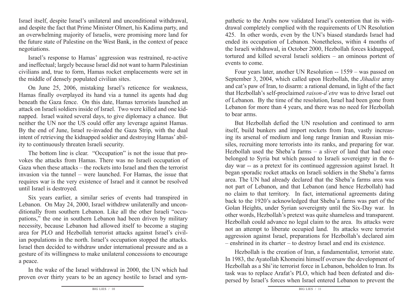Israel itself, despite Israel's unilateral and unconditional withdrawal, and despite the fact that Prime Minister Olmert, his Kadima party, and an overwhelming majority of Israelis, were promising more land for the future state of Palestine on the West Bank, in the context of peace negotiations.

Israel's response to Hamas' aggression was restrained, re-active and ineffectual; largely because Israel did not want to harm Palestinian civilians and, true to form, Hamas rocket emplacements were set in the middle of densely populated civilian sites.

On June 25, 2006, mistaking Israel's reticence for weakness, Hamas finally overplayed its hand via a tunnel its agents had dug beneath the Gaza fence. On this date, Hamas terrorists launched an attack on Israeli soldiers inside of Israel. Two were killed and one kidnapped. Israel waited several days, to give diplomacy a chance. But neither the UN nor the US could offer any leverage against Hamas. By the end of June, Israel re-invaded the Gaza Strip, with the dual intent of retrieving the kidnapped soldier and destroying Hamas' ability to continuously threaten Israeli security.

The bottom line is clear. "Occupation" is not the issue that provokes the attacks from Hamas. There was no Israeli occupation of Gaza when these attacks – the rockets into Israel and then the terrorist invasion via the tunnel – were launched. For Hamas, the issue that requires war is the very existence of Israel and it cannot be resolved until Israel is destroyed.

Six years earlier, a similar series of events had transpired in Lebanon. On May 24, 2000, Israel withdrew unilaterally and unconditionally from southern Lebanon. Like all the other Israeli "occupations," the one in southern Lebanon had been driven by military necessity, because Lebanon had allowed itself to become a staging area for PLO and Hezbollah terrorist attacks against Israel's civilian populations in the north. Israel's occupation stopped the attacks. Israel then decided to withdraw under international pressure and as a gesture of its willingness to make unilateral concessions to encourage a peace.

In the wake of the Israel withdrawal in 2000, the UN which had proven over thirty years to be an agency hostile to Israel and sympathetic to the Arabs now validated Israel's contention that its withdrawal completely complied with the requirements of UN Resolution 425. In other words, even by the UN's biased standards Israel had ended its occupation of Lebanon. Nonetheless, within 4 months of the Israeli withdrawal, in October 2000, Hezbollah forces kidnapped, tortured and killed several Israeli soldiers – an ominous portent of events to come.

Four years later, another UN Resolution -- 1559 – was passed on September 3, 2004, which called upon Hezbollah, the *Jihadist* army and cat's paw of Iran, to disarm: a rational demand, in light of the fact that Hezbollah's self-proclaimed *raison-d'etre* was to drive Israel out of Lebanon. By the time of the resolution, Israel had been gone from Lebanon for more than 4 years, and there was no need for Hezbollah to bear arms.

But Hezbollah defied the UN resolution and continued to arm itself, build bunkers and import rockets from Iran, vastly increasing its arsenal of medium and long range Iranian and Russian missiles, recruiting more terrorists into its ranks, and preparing for war. Hezbollah used the Sheba'a farms – a sliver of land that had once belonged to Syria but which passed to Israeli sovereignty in the 6 day war -- as a pretext for its continued aggression against Israel. It began sporadic rocket attacks on Israeli soldiers in the Sheba'a farms area. The UN had already declared that the Sheba'a farms area was not part of Lebanon, and that Lebanon (and hence Hezbollah) had no claim to that territory. In fact, international agreements dating back to the 1920's acknowledged that Sheba'a farms was part of the Golan Heights, under Syrian sovereignty until the Six-Day war. In other words, Hezbollah's pretext was quite shameless and transparent. Hezbollah could advance no legal claim to the area. Its attacks were not an attempt to liberate occupied land. Its attacks were terrorist aggression against Israel, preparations for Hezbollah's declared aim – enshrined in its charter – to destroy Israel and end its existence.

Hezbollah is the creation of Iran, a fundamentalist, terrorist state. In 1983, the Ayatollah Khomeini himself oversaw the development of Hezbollah as a Shi'ite terrorist force in Lebanon, beholden to Iran. Its task was to replace Arafat's PLO, which had been defeated and dispersed by Israel's forces when Israel entered Lebanon to prevent the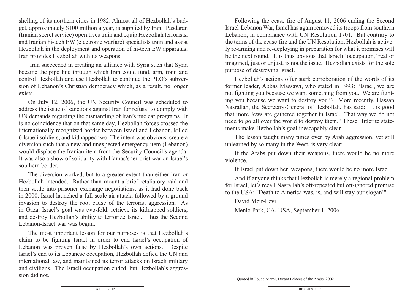shelling of its northern cities in 1982. Almost all of Hezbollah's budget, approximately \$100 million a year, is supplied by Iran. Pasdaran (Iranian secret service) operatives train and equip Hezbollah terrorists, and Iranian hi-tech EW (electronic warfare) specialists train and assist Hezbollah in the deployment and operation of hi-tech EW apparatus. Iran provides Hezbollah with its weapons.

 Iran succeeded in creating an alliance with Syria such that Syria became the pipe line through which Iran could fund, arm, train and control Hezbollah and use Hezbollah to continue the PLO's subversion of Lebanon's Christian democracy which, as a result, no longer exists.

On July 12, 2006, the UN Security Council was scheduled to address the issue of sanctions against Iran for refusal to comply with UN demands regarding the dismantling of Iran's nuclear programs. It is no coincidence that on that same day, Hezbollah forces crossed the internationally recognized border between Israel and Lebanon, killed 6 Israeli soldiers, and kidnapped two. The intent was obvious; create a diversion such that a new and unexpected emergency item (Lebanon) would displace the Iranian item from the Security Council's agenda. It was also a show of solidarity with Hamas's terrorist war on Israel's southern border.

The diversion worked, but to a greater extent than either Iran or Hezbollah intended. Rather than mount a brief retaliatory raid and then settle into prisoner exchange negotiations, as it had done back in 2000, Israel launched a full-scale air attack, followed by a ground invasion to destroy the root cause of the terrorist aggression. As in Gaza, Israel's goal was two-fold: retrieve its kidnapped soldiers, and destroy Hezbollah's ability to terrorize Israel. Thus the Second Lebanon-Israel war was begun.

The most important lesson for our purposes is that Hezbollah's claim to be fighting Israel in order to end Israel's occupation of Lebanon was proven false by Hezbollah's own actions. Despite Israel's end to its Lebanese occupation, Hezbollah defied the UN and international law, and maintained its terror attacks on Israeli military and civilians. The Israeli occupation ended, but Hezbollah's aggression did not.

Following the cease fire of August 11, 2006 ending the Second Israel-Lebanon War, Israel has again removed its troops from southern Lebanon, in compliance with UN Resolution 1701. But contrary to the terms of the cease-fire and the UN Resolution, Hezbollah is actively re-arming and re-deploying in preparation for what it promises will be the next round. It is thus obvious that Israeli 'occupation,' real or imagined, just or unjust, is not the issue. Hezbollah exists for the sole purpose of destroying Israel.

Hezbollah's actions offer stark corroboration of the words of its former leader, Abbas Massawi, who stated in 1993: "Israel, we are not fighting you because we want something from you. We are fighting you because we want to destroy you."<sup>1</sup> More recently, Hassan Nasrallah, the Secretary-General of Hezbollah, has said: "It is good that more Jews are gathered together in Israel. That way we do not need to go all over the world to destroy them." These Hitlerite statements make Hezbollah's goal inescapably clear.

The lesson taught many times over by Arab aggression, yet still unlearned by so many in the West, is very clear:

If the Arabs put down their weapons, there would be no more violence.

If Israel put down her weapons, there would be no more Israel.

And if anyone thinks that Hezbollah is merely a regional problem for Israel, let's recall Nasrallah's oft-repeated but oft-ignored promise to the USA: "Death to America was, is, and will stay our slogan!"

David Meir-Levi

Menlo Park, CA, USA, September 1, 2006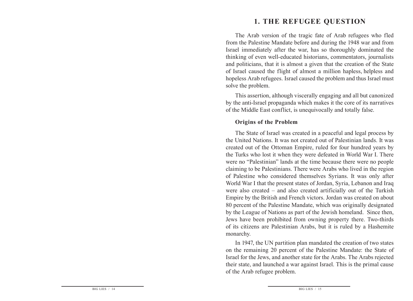### **1. THE REFUGEE QUESTION**

The Arab version of the tragic fate of Arab refugees who fled from the Palestine Mandate before and during the 1948 war and from Israel immediately after the war, has so thoroughly dominated the thinking of even well-educated historians, commentators, journalists and politicians, that it is almost a given that the creation of the State of Israel caused the flight of almost a million hapless, helpless and hopeless Arab refugees. Israel caused the problem and thus Israel must solve the problem.

This assertion, although viscerally engaging and all but canonized by the anti-Israel propaganda which makes it the core of its narratives of the Middle East conflict, is unequivocally and totally false.

#### **Origins of the Problem**

The State of Israel was created in a peaceful and legal process by the United Nations. It was not created out of Palestinian lands. It was created out of the Ottoman Empire, ruled for four hundred years by the Turks who lost it when they were defeated in World War I. There were no "Palestinian" lands at the time because there were no people claiming to be Palestinians. There were Arabs who lived in the region of Palestine who considered themselves Syrians. It was only after World War I that the present states of Jordan, Syria, Lebanon and Iraq were also created – and also created artificially out of the Turkish Empire by the British and French victors. Jordan was created on about 80 percent of the Palestine Mandate, which was originally designated by the League of Nations as part of the Jewish homeland. Since then, Jews have been prohibited from owning property there. Two-thirds of its citizens are Palestinian Arabs, but it is ruled by a Hashemite monarchy.

In 1947, the UN partition plan mandated the creation of two states on the remaining 20 percent of the Palestine Mandate: the State of Israel for the Jews, and another state for the Arabs. The Arabs rejected their state, and launched a war against Israel. This is the primal cause of the Arab refugee problem.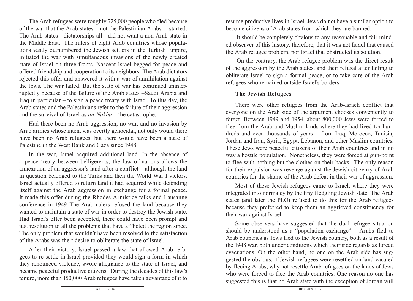The Arab refugees were roughly 725,000 people who fled because of the war that the Arab states – not the Palestinian Arabs -- started. The Arab states - dictatorships all - did not want a non-Arab state in the Middle East. The rulers of eight Arab countries whose populations vastly outnumbered the Jewish settlers in the Turkish Empire, initiated the war with simultaneous invasions of the newly created state of Israel on three fronts. Nascent Israel begged for peace and offered friendship and cooperation to its neighbors. The Arab dictators rejected this offer and answered it with a war of annihilation against the Jews. The war failed. But the state of war has continued uninterruptedly because of the failure of the Arab states –Saudi Arabia and Iraq in particular  $-$  to sign a peace treaty with Israel. To this day, the Arab states and the Palestinians refer to the failure of their aggression and the survival of Israel as *an-Nakba* – the catastrophe.

Had there been no Arab aggression, no war, and no invasion by Arab armies whose intent was overtly genocidal, not only would there have been no Arab refugees, but there would have been a state of Palestine in the West Bank and Gaza since 1948.

In the war, Israel acquired additional land. In the absence of a peace treaty between belligerents, the law of nations allows the annexation of an aggressor's land after a conflict – although the land in question belonged to the Turks and then the World War I victors. Israel actually offered to return land it had acquired while defending itself against the Arab aggression in exchange for a formal peace. It made this offer during the Rhodes Armistice talks and Lausanne conference in 1949. The Arab rulers refused the land because they wanted to maintain a state of war in order to destroy the Jewish state. Had Israel's offer been accepted, there could have been prompt and just resolution to all the problems that have afflicted the region since. The only problem that wouldn't have been resolved to the satisfaction of the Arabs was their desire to obliterate the state of Israel.

After their victory, Israel passed a law that allowed Arab refugees to re-settle in Israel provided they would sign a form in which they renounced violence, swore allegiance to the state of Israel, and became peaceful productive citizens. During the decades of this law's tenure, more than 150,000 Arab refugees have taken advantage of it to

resume productive lives in Israel. Jews do not have a similar option to become citizens of Arab states from which they are banned.

It should be completely obvious to any reasonable and fair-minded observer of this history, therefore, that it was not Israel that caused the Arab refugee problem, nor Israel that obstructed its solution.

On the contrary, the Arab refugee problem was the direct result of the aggression by the Arab states, and their refusal after failing to obliterate Israel to sign a formal peace, or to take care of the Arab refugees who remained outside Israel's borders.

#### **The Jewish Refugees**

There were other refugees from the Arab-Israeli conflict that everyone on the Arab side of the argument chooses conveniently to forget. Between 1949 and 1954, about 800,000 Jews were forced to flee from the Arab and Muslim lands where they had lived for hundreds and even thousands of years – from Iraq, Morocco, Tunisia, Jordan and Iran, Syria, Egypt, Lebanon, and other Muslim countries. These Jews were peaceful citizens of their Arab countries and in no way a hostile population. Nonetheless, they were forced at gun-point to flee with nothing but the clothes on their backs. The only reason for their expulsion was revenge against the Jewish citizenry of Arab countries for the shame of the Arab defeat in their war of aggression.

Most of these Jewish refugees came to Israel, where they were integrated into normalcy by the tiny fledgling Jewish state. The Arab states (and later the PLO) refused to do this for the Arab refugees because they preferred to keep them an aggrieved constituency for their war against Israel.

Some observers have suggested that the dual refugee situation should be understood as a "population exchange" – Arabs fled to Arab countries as Jews fled to the Jewish country, both as a result of the 1948 war, both under conditions which their side regards as forced evacuations. On the other hand, no one on the Arab side has suggested the obvious: if Jewish refugees were resettled on land vacated by fleeing Arabs, why not resettle Arab refugees on the lands of Jews who were forced to flee the Arab countries. One reason no one has suggested this is that no Arab state with the exception of Jordan will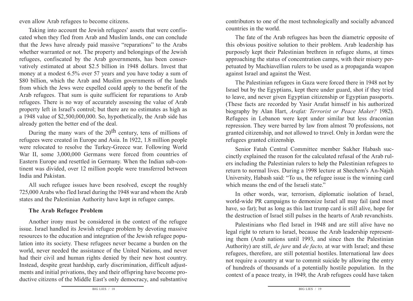even allow Arab refugees to become citizens.

Taking into account the Jewish refugees' assets that were confiscated when they fled from Arab and Muslim lands, one can conclude that the Jews have already paid massive "reparations" to the Arabs whether warranted or not. The property and belongings of the Jewish refugees, confiscated by the Arab governments, has been conservatively estimated at about \$2.5 billion in 1948 dollars. Invest that money at a modest 6.5% over 57 years and you have today a sum of \$80 billion, which the Arab and Muslim governments of the lands from which the Jews were expelled could apply to the benefit of the Arab refugees. That sum is quite sufficient for reparations to Arab refugees. There is no way of accurately assessing the value of Arab property left in Israel's control; but there are no estimates as high as a 1948 value of \$2,500,000,000. So, hypothetically, the Arab side has already gotten the better end of the deal.

During the many wars of the  $20<sup>th</sup>$  century, tens of millions of refugees were created in Europe and Asia. In 1922, 1.8 million people were relocated to resolve the Turkey-Greece war. Following World War II, some 3,000,000 Germans were forced from countries of Eastern Europe and resettled in Germany. When the Indian sub-continent was divided, over 12 million people were transferred between India and Pakistan.

All such refugee issues have been resolved, except the roughly 725,000 Arabs who fled Israel during the 1948 war and whom the Arab states and the Palestinian Authority have kept in refugee camps.

#### **The Arab Refugee Problem**

Another irony must be considered in the context of the refugee issue. Israel handled its Jewish refugee problem by devoting massive resources to the education and integration of the Jewish refugee population into its society. These refugees never became a burden on the world, never needed the assistance of the United Nations, and never had their civil and human rights denied by their new host country. Instead, despite great hardship, early discrimination, difficult adjustments and initial privations, they and their offspring have become productive citizens of the Middle East's only democracy, and substantive

contributors to one of the most technologically and socially advanced countries in the world.

The fate of the Arab refugees has been the diametric opposite of this obvious positive solution to their problem. Arab leadership has purposely kept their Palestinian brethren in refugee slums, at times approaching the status of concentration camps, with their misery perpetuated by Machiavellian rulers to be used as a propaganda weapon against Israel and against the West.

The Palestinian refugees in Gaza were forced there in 1948 not by Israel but by the Egyptians, kept there under guard, shot if they tried to leave, and never given Egyptian citizenship or Egyptian passports. (These facts are recorded by Yasir Arafat himself in his authorized biography by Alan Hart, *Arafat: Terrorist or Peace Maker?* 1982). Refugees in Lebanon were kept under similar but less draconian repression. They were barred by law from almost 70 professions, not granted citizenship, and not allowed to travel. Only in Jordan were the refugees granted citizenship.

Senior Fatah Central Committee member Sakher Habash succinctly explained the reason for the calculated refusal of the Arab rulers including the Palestinian rulers to help the Palestinian refugees to return to normal lives. During a 1998 lecture at Shechem's An-Najah University, Habash said: "To us, the refugee issue is the winning card which means the end of the Israeli state"

In other words, war, terrorism, diplomatic isolation of Israel, world-wide PR campaigns to demonize Israel all may fail (and most have, so far); but as long as this last trump card is still alive, hope for the destruction of Israel still pulses in the hearts of Arab revanchists.

Palestinians who fled Israel in 1948 and are still alive have no legal right to return to Israel, because the Arab leadership representing them (Arab nations until 1993, and since then the Palestinian Authority) are still, *de jure* and *de facto,* at war with Israel; and these refugees, therefore, are still potential hostiles. International law does not require a country at war to commit suicide by allowing the entry of hundreds of thousands of a potentially hostile population. In the context of a peace treaty, in 1949, the Arab refugees could have taken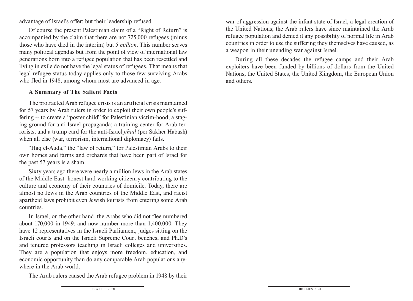advantage of Israel's offer; but their leadership refused.

Of course the present Palestinian claim of a "Right of Return" is accompanied by the claim that there are not 725,000 refugees (minus those who have died in the interim) but *5 million*. This number serves many political agendas but from the point of view of international law generations born into a refugee population that has been resettled and living in exile do not have the legal status of refugees. That means that legal refugee status today applies only to those few surviving Arabs who fled in 1948, among whom most are advanced in age.

#### **A Summary of The Salient Facts**

The protracted Arab refugee crisis is an artificial crisis maintained for 57 years by Arab rulers in order to exploit their own people's suffering -- to create a "poster child" for Palestinian victim-hood; a staging ground for anti-Israel propaganda; a training center for Arab terrorists; and a trump card for the anti-Israel *jihad* (per Sakher Habash) when all else (war, terrorism, international diplomacy) fails.

"Haq el-Auda," the "law of return," for Palestinian Arabs to their own homes and farms and orchards that have been part of Israel for the past 57 years is a sham.

Sixty years ago there were nearly a million Jews in the Arab states of the Middle East: honest hard-working citizenry contributing to the culture and economy of their countries of domicile. Today, there are almost no Jews in the Arab countries of the Middle East, and racist apartheid laws prohibit even Jewish tourists from entering some Arab countries.

In Israel, on the other hand, the Arabs who did not flee numbered about 170,000 in 1949; and now number more than 1,400,000. They have 12 representatives in the Israeli Parliament, judges sitting on the Israeli courts and on the Israeli Supreme Court benches, and Ph.D's and tenured professors teaching in Israeli colleges and universities. They are a population that enjoys more freedom, education, and economic opportunity than do any comparable Arab populations anywhere in the Arab world.

The Arab rulers caused the Arab refugee problem in 1948 by their

war of aggression against the infant state of Israel, a legal creation of the United Nations; the Arab rulers have since maintained the Arab refugee population and denied it any possibility of normal life in Arab countries in order to use the suffering they themselves have caused, as a weapon in their unending war against Israel.

During all these decades the refugee camps and their Arab exploiters have been funded by billions of dollars from the United Nations, the United States, the United Kingdom, the European Union and others.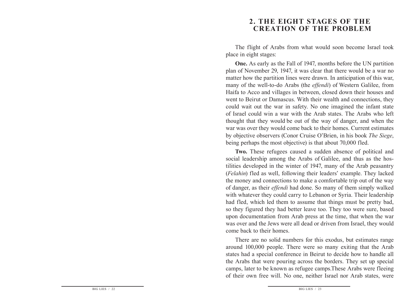#### **2. THE EIGHT STAGES OF TH e Creation of the Problem**

The flight of Arabs from what would soon become Israel took place in eight stages:

**One.** As early as the Fall of 1947, months before the UN partition plan of November 29, 1947, it was clear that there would be a war no matter how the partition lines were drawn. In anticipation of this war, many of the well-to-do Arabs (the *effendi*) of Western Galilee, from Haifa to Acco and villages in between, closed down their houses and went to Beirut or Damascus. With their wealth and connections, they could wait out the war in safety. No one imagined the infant state of Israel could win a war with the Arab states. The Arabs who left thought that they would be out of the way of danger, and when the war was over they would come back to their homes. Current estimates by objective observers (Conor Cruise O'Brien, in his book *The Siege*, being perhaps the most objective) is that about 70,000 fled.

**Two.** These refugees caused a sudden absence of political and social leadership among the Arabs of Galilee, and thus as the hostilities developed in the winter of 1947, many of the Arab peasantry (*Felahin*) fled as well, following their leaders' example. They lacked the money and connections to make a comfortable trip out of the way of danger, as their *effendi* had done. So many of them simply walked with whatever they could carry to Lebanon or Syria. Their leadership had fled, which led them to assume that things must be pretty bad, so they figured they had better leave too. They too were sure, based upon documentation from Arab press at the time, that when the war was over and the Jews were all dead or driven from Israel, they would come back to their homes.

There are no solid numbers for this exodus, but estimates range around 100,000 people. There were so many exiting that the Arab states had a special conference in Beirut to decide how to handle all the Arabs that were pouring across the borders. They set up special camps, later to be known as refugee camps.These Arabs were fleeing of their own free will. No one, neither Israel nor Arab states, were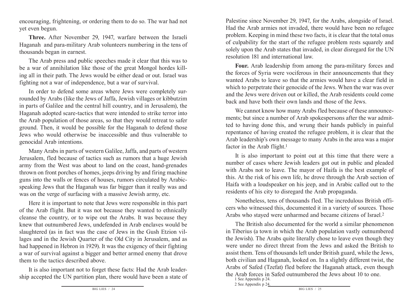encouraging, frightening, or ordering them to do so. The war had not yet even begun.

**Three.** After November 29, 1947, warfare between the Israeli Haganah and para-military Arab volunteers numbering in the tens of thousands began in earnest.

The Arab press and public speeches made it clear that this was to be a war of annihilation like those of the great Mongol hordes killing all in their path. The Jews would be either dead or out. Israel was fighting not a war of independence, but a war of survival.

In order to defend some areas where Jews were completely surrounded by Arabs (like the Jews of Jaffa, Jewish villages or kibbutzim in parts of Galilee and the central hill country, and in Jerusalem), the Haganah adopted scare-tactics that were intended to strike terror into the Arab population of those areas, so that they would retreat to safer ground. Then, it would be possible for the Haganah to defend those Jews who would otherwise be inaccessible and thus vulnerable to genocidal Arab intentions.

Many Arabs in parts of western Galilee, Jaffa, and parts of western Jerusalem, fled because of tactics such as rumors that a huge Jewish army from the West was about to land on the coast, hand-grenades thrown on front porches of homes, jeeps driving by and firing machine guns into the walls or fences of houses, rumors circulated by Arabicspeaking Jews that the Haganah was far bigger than it really was and was on the verge of surfacing with a massive Jewish army, etc.

Here it is important to note that Jews were responsible in this part of the Arab flight. But it was not because they wanted to ethnically cleanse the country, or to wipe out the Arabs. It was because they knew that outnumbered Jews, undefended in Arab enclaves would be slaughtered (as in fact was the case of Jews in the Gush Etzion villages and in the Jewish Quarter of the Old City in Jerusalem, and as had happened in Hebron in 1929). It was the exigency of their fighting a war of survival against a bigger and better armed enemy that drove them to the tactics described above.

It is also important not to forget these facts: Had the Arab leadership accepted the UN partition plan, there would have been a state of Palestine since November 29, 1947, for the Arabs, alongside of Israel. Had the Arab armies not invaded, there would have been no refugee problem. Keeping in mind these two facts, it is clear that the total onus of culpability for the start of the refugee problem rests squarely and solely upon the Arab states that invaded, in clear disregard for the UN resolution 181 and international law.

**Four.** Arab leadership from among the para-military forces and the forces of Syria were vociferous in their announcements that they wanted Arabs to leave so that the armies would have a clear field in which to perpetrate their genocide of the Jews. When the war was over and the Jews were driven out or killed, the Arab residents could come back and have both their own lands and those of the Jews.

We cannot know how many Arabs fled because of these announcements; but since a number of Arab spokespersons after the war admitted to having done this, and wrung their hands publicly in painful repentance of having created the refugee problem, it is clear that the Arab leadership's own message to many Arabs in the area was a major factor in the Arab flight.<sup>1</sup>

It is also important to point out at this time that there were a number of cases where Jewish leaders got out in public and pleaded with Arabs not to leave. The mayor of Haifa is the best example of this. At the risk of his own life, he drove through the Arab section of Haifa with a loudspeaker on his jeep, and in Arabic called out to the residents of his city to disregard the Arab propaganda.

Nonetheless, tens of thousands fled. The incredulous British officers who witnessed this, documented it in a variety of sources. Those Arabs who stayed were unharmed and became citizens of Israel.2

The British also documented for the world a similar phenomenon in Tiberius (a town in which the Arab population vastly outnumbered the Jewish). The Arabs quite literally chose to leave even though they were under no direct threat from the Jews and asked the British to assist them. Tens of thousands left under British guard, while the Jews, both civilian and Haganah, looked on. In a slightly different twist, the Arabs of Safed (Tzefat) fled before the Haganah attack, even though the Arab forces in Safed outnumbered the Jews about 10 to one.

<sup>1</sup> See Appendix p 24.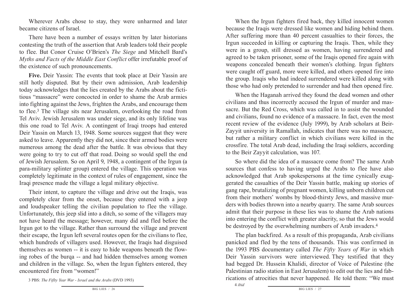Wherever Arabs chose to stay, they were unharmed and later became citizens of Israel.

There have been a number of essays written by later historians contesting the truth of the assertion that Arab leaders told their people to flee. But Conor Cruise O'Brien's *The Siege* and Mitchell Bard's *Myths and Facts of the Middle East Conflict* offer irrefutable proof of the existence of such pronouncements.

**Five.** Deir Yassin: The events that took place at Deir Yassin are still hotly disputed. But by their own admission, Arab leadership today acknowledges that the lies created by the Arabs about the fictitious "massacre" were concocted in order to shame the Arab armies into fighting against the Jews, frighten the Arabs, and encourage them to flee.3 The village sits near Jerusalem, overlooking the road from Tel Aviv. Jewish Jerusalem was under siege, and its only lifeline was this one road to Tel Aviv. A contingent of Iraqi troops had entered Deir Yassin on March 13, 1948. Some sources suggest that they were asked to leave. Apparently they did not, since their armed bodies were numerous among the dead after the battle. It was obvious that they were going to try to cut off that road. Doing so would spell the end of Jewish Jerusalem. So on April 9, 1948, a contingent of the Irgun (a para-military splinter group) entered the village. This operation was completely legitimate in the context of rules of engagement, since the Iraqi presence made the village a legal military objective.

Their intent, to capture the village and drive out the Iraqis, was completely clear from the onset, because they entered with a jeep and loudspeaker telling the civilian population to flee the village. Unfortunately, this jeep slid into a ditch, so some of the villagers may not have heard the message; however, many did and fled before the Irgun got to the village. Rather than surround the village and prevent their escape, the Irgun left several routes open for the civilians to flee, which hundreds of villagers used. However, the Iraqis had disguised themselves as women -- it is easy to hide weapons beneath the flowing robes of the burqa -- and had hidden themselves among women and children in the village. So, when the Irgun fighters entered, they encountered fire from "women!"

When the Irgun fighters fired back, they killed innocent women because the Iraqis were dressed like women and hiding behind them. After suffering more than 40 percent casualties to their forces, the Irgun succeeded in killing or capturing the Iraqis. Then, while they were in a group, still dressed as women, having surrendered and agreed to be taken prisoner, some of the Iraqis opened fire again with weapons concealed beneath their women's clothing. Irgun fighters were caught off guard, more were killed, and others opened fire into the group. Iraqis who had indeed surrendered were killed along with those who had only pretended to surrender and had then opened fire.

When the Haganah arrived they found the dead women and other civilians and thus incorrectly accused the Irgun of murder and massacre. But the Red Cross, which was called in to assist the wounded and civilians, found no evidence of a massacre. In fact, even the most recent review of the evidence (July 1999), by Arab scholars at Beir-Zayyit university in Ramallah, indicates that there was no massacre, but rather a military conflict in which civilians were killed in the crossfire. The total Arab dead, including the Iraqi soldiers, according to the Beir Zayyit calculation, was 107.

So where did the idea of a massacre come from? The same Arab sources that confess to having urged the Arabs to flee have also acknowledged that Arab spokespersons at the time cynically exaggerated the casualties of the Deir Yassin battle, making up stories of gang rape, brutalizing of pregnant women, killing unborn children cut from their mothers' wombs by blood-thirsty Jews, and massive murders with bodies thrown into a nearby quarry. The same Arab sources admit that their purpose in these lies was to shame the Arab nations into entering the conflict with greater alacrity, so that the Jews would be destroyed by the overwhelming numbers of Arab invaders.4

The plan backfired. As a result of this propaganda, Arab civilians panicked and fled by the tens of thousands. This was confirmed in the 1993 PBS documentary called *The Fifty Years of War* in which Deir Yassin survivors were interviewed. They testified that they had begged Dr. Hussein Khalidi, director of Voice of Palestine (the Palestinian radio station in East Jerusalem) to edit out the lies and fabrications of atrocities that never happened. He told them: "We must 3 PBS: *The Fiflty Year War - Israel and the Arabs* (DVD 1993)

4 *ibid*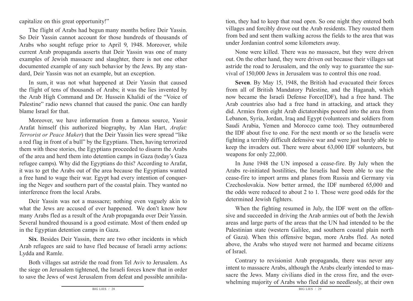capitalize on this great opportunity!"

The flight of Arabs had begun many months before Deir Yassin. So Deir Yassin cannot account for those hundreds of thousands of Arabs who sought refuge prior to April 9, 1948. Moreover, while current Arab propaganda asserts that Deir Yassin was one of many examples of Jewish massacre and slaughter, there is not one other documented example of any such behavior by the Jews. By any standard, Deir Yassin was not an example, but an exception.

In sum, it was not what happened at Deir Yassin that caused the flight of tens of thousands of Arabs; it was the lies invented by the Arab High Command and Dr. Hussein Khalidi of the "Voice of Palestine" radio news channel that caused the panic. One can hardly blame Israel for that.

Moreover, we have information from a famous source, Yassir Arafat himself (his authorized biography, by Alan Hart, *Arafat: Terrorist or Peace Maker*) that the Deir Yassin lies were spread "like a red flag in front of a bull" by the Egyptians. Then, having terrorized them with these stories, the Egyptians proceeded to disarm the Arabs of the area and herd them into detention camps in Gaza (today's Gaza refugee camps). Why did the Egyptians do this? According to Arafat, it was to get the Arabs out of the area because the Egyptians wanted a free hand to wage their war. Egypt had every intention of conquering the Negev and southern part of the coastal plain. They wanted no interference from the local Arabs.

Deir Yassin was not a massacre; nothing even vaguely akin to what the Jews are accused of ever happened. We don't know how many Arabs fled as a result of the Arab propaganda over Deir Yassin. Several hundred thousand is a good estimate. Most of them ended up in the Egyptian detention camps in Gaza.

**Six**. Besides Deir Yassin, there are two other incidents in which Arab refugees are said to have fled because of Israeli army actions: Lydda and Ramle.

Both villages sat astride the road from Tel Aviv to Jerusalem. As the siege on Jerusalem tightened, the Israeli forces knew that in order to save the Jews of west Jerusalem from defeat and possible annihilation, they had to keep that road open. So one night they entered both villages and forcibly drove out the Arab residents. They rousted them from bed and sent them walking across the fields to the area that was under Jordanian control some kilometers away.

None were killed. There was no massacre, but they were driven out. On the other hand, they were driven out because their villages sat astride the road to Jerusalem, and the only way to guarantee the survival of 150,000 Jews in Jerusalem was to control this one road.

**Seven**. By May 15, 1948, the British had evacuated their forces from all of British Mandatory Palestine, and the Haganah, which now became the Israeli Defense Force(IDF), had a free hand. The Arab countries also had a free hand in attacking, and attack they did. Armies from eight Arab dictatorships poured into the area from Lebanon, Syria, Jordan, Iraq and Egypt (volunteers and soldiers from Saudi Arabia, Yemen and Morocco came too). They outnumbered the IDF about five to one. For the next month or so the Israelis were fighting a terribly difficult defensive war and were just barely able to keep the invaders out. There were about 63,000 IDF volunteers, but weapons for only 22,000.

In June 1948 the UN imposed a cease-fire. By July when the Arabs re-initiated hostilities, the Israelis had been able to use the cease-fire to import arms and planes from Russia and Germany via Czechoslovakia. Now better armed, the IDF numbered 65,000 and the odds were reduced to about 2 to 1. Those were good odds for the determined Jewish fighters.

When the fighting resumed in July, the IDF went on the offensive and succeeded in driving the Arab armies out of both the Jewish areas and large parts of the areas that the UN had intended to be the Palestinian state (western Galilee, and southern coastal plain north of Gaza). When this offensive began, more Arabs fled. As noted above, the Arabs who stayed were not harmed and became citizens of Israel.

Contrary to revisionist Arab propaganda, there was never any intent to massacre Arabs, although the Arabs clearly intended to massacre the Jews. Many civilians died in the cross fire, and the overwhelming majority of Arabs who fled did so needlessly, at their own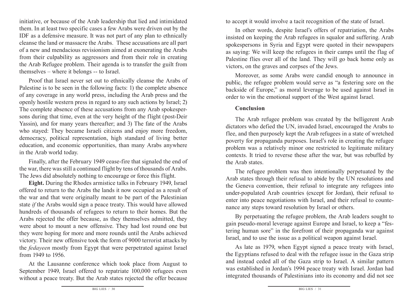initiative, or because of the Arab leadership that lied and intimidated them. In at least two specific cases a few Arabs were driven out by the IDF as a defensive measure. It was not part of any plan to ethnically cleanse the land or massacre the Arabs. These accusations are all part of a new and mendacious revisionism aimed at exonerating the Arabs from their culpability as aggressors and from their role in creating the Arab Refugee problem. Their agenda is to transfer the guilt from themselves – where it belongs -- to Israel.

Proof that Israel never set out to ethnically cleanse the Arabs of Palestine is to be seen in the following facts: 1) the complete absence of any coverage in any world press, including the Arab press and the openly hostile western press in regard to any such actions by Israel; 2) The complete absence of these accusations from any Arab spokespersons during that time, even at the very height of the flight (post-Deir Yassin), and for many years thereafter; and 3) The fate of the Arabs who stayed: They became Israeli citizens and enjoy more freedom, democracy, political representation, high standard of living better education, and economic opportunities, than many Arabs anywhere in the Arab world today.

Finally, after the February 1949 cease-fire that signaled the end of the war, there was still a continued flight by tens of thousands of Arabs. The Jews did absolutely nothing to encourage or force this flight.

**Eight.** During the Rhodes armistice talks in February 1949, Israel offered to return to the Arabs the lands it now occupied as a result of the war and that were originally meant to be part of the Palestinian state *if* the Arabs would sign a peace treaty. This would have allowed hundreds of thousands of refugees to return to their homes. But the Arabs rejected the offer because, as they themselves admitted, they were about to mount a new offensive. They had lost round one but they were hoping for more and more rounds until the Arabs achieved victory. Their new offensive took the form of 9000 terrorist attacks by the *fedayeen* mostly from Egypt that were perpetrated against Israel from 1949 to 1956.

At the Lausanne conference which took place from August to September 1949, Israel offered to repatriate 100,000 refugees even without a peace treaty. But the Arab states rejected the offer because to accept it would involve a tacit recognition of the state of Israel.

In other words, despite Israel's offers of repatriation, the Arabs insisted on keeping the Arab refugees in squalor and suffering. Arab spokespersons in Syria and Egypt were quoted in their newspapers as saying: We will keep the refugees in their camps until the flag of Palestine flies over all of the land. They will go back home only as victors, on the graves and corpses of the Jews.

Moreover, as some Arabs were candid enough to announce in public, the refugee problem would serve as "a festering sore on the backside of Europe," as moral leverage to be used against Israel in order to win the emotional support of the West against Israel.

#### **Conclusion**

The Arab refugee problem was created by the belligerent Arab dictators who defied the UN, invaded Israel, encouraged the Arabs to flee, and then purposely kept the Arab refugees in a state of wretched poverty for propaganda purposes. Israel's role in creating the refugee problem was a relatively minor one restricted to legitimate military contexts. It tried to reverse these after the war, but was rebuffed by the Arab states.

The refugee problem was then intentionally perpetuated by the Arab states through their refusal to abide by the UN resolutions and the Geneva convention, their refusal to integrate any refugees into under-populated Arab countries (except for Jordan), their refusal to enter into peace negotiations with Israel, and their refusal to countenance any steps toward resolution by Israel or others.

By perpetuating the refugee problem, the Arab leaders sought to gain pseudo-moral leverage against Europe and Israel, to keep a "festering human sore" in the forefront of their propaganda war against Israel, and to use the issue as a political weapon against Israel.

As late as 1979, when Egypt signed a peace treaty with Israel, the Egyptians refused to deal with the refugee issue in the Gaza strip and instead ceded all of the Gaza strip to Israel. A similar pattern was established in Jordan's 1994 peace treaty with Israel. Jordan had integrated thousands of Palestinians into its economy and did not see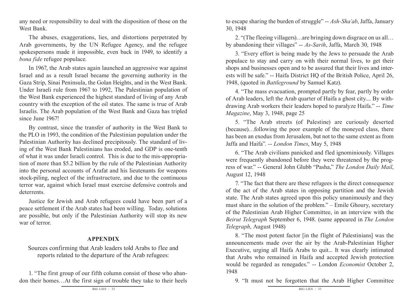any need or responsibility to deal with the disposition of those on the West Bank.

The abuses, exaggerations, lies, and distortions perpetrated by Arab governments, by the UN Refugee Agency, and the refugee spokespersons made it impossible, even back in 1949, to identify a *bona fide* refugee populace.

In 1967, the Arab states again launched an aggressive war against Israel and as a result Israel became the governing authority in the Gaza Strip, Sinai Peninsula, the Golan Heights, and in the West Bank. Under Israeli rule from 1967 to 1992, The Palestinian population of the West Bank experienced the highest standard of living of any Arab country with the exception of the oil states. The same is true of Arab Israelis. The Arab population of the West Bank and Gaza has tripled since June 1967!

By contrast, since the transfer of authority in the West Bank to the PLO in 1993, the condition of the Palestinian population under the Palestinian Authority has declined precipitously. The standard of living of the West Bank Palestinians has eroded, and GDP is one-tenth of what it was under Israeli control. This is due to the mis-appropriation of more than \$5.2 billion by the rule of the Palestinian Authority into the personal accounts of Arafat and his lieutenants for weapons stock-piling, neglect of the infrastructure, and due to the continuous terror war, against which Israel must exercise defensive controls and deterrents.

Justice for Jewish and Arab refugees could have been part of a peace settlement if the Arab states had been willing. Today, solutions are possible, but only if the Palestinian Authority will stop its new war of terror.

#### **Appendix**

Sources confirming that Arab leaders told Arabs to flee and reports related to the departure of the Arab refugees:

1. "The first group of our fifth column consist of those who abandon their homes…At the first sign of trouble they take to their heels to escape sharing the burden of struggle" -- *Ash-Sha'ab*, Jaffa, January 30, 1948

2. "(The fleeing villagers)…are bringing down disgrace on us all… by abandoning their villages" -- *As-Sarih*, Jaffa, March 30, 1948

3. "Every effort is being made by the Jews to persuade the Arab populace to stay and carry on with their normal lives, to get their shops and businesses open and to be assured that their lives and interests will be safe." -- Haifa District HQ of the British Police, April 26, 1948, (quoted in *Battleground* by Samuel Katz).

4. "The mass evacuation, prompted partly by fear, partly by order of Arab leaders, left the Arab quarter of Haifa a ghost city.... By withdrawing Arab workers their leaders hoped to paralyze Haifa." -- *Time Magazine*, May 3, 1948, page 25

5. "The Arab streets (of Palestine) are curiously deserted (because)…following the poor example of the moneyed class, there has been an exodus from Jerusalem, but not to the same extent as from Jaffa and Haifa". -- *London Times*, May 5, 1948

6. "The Arab civilians panicked and fled ignominiously. Villages were frequently abandoned before they were threatened by the progress of war." -- General John Glubb "Pasha," *The London Daily Mail*, August 12, 1948

7. "The fact that there are these refugees is the direct consequence of the act of the Arab states in opposing partition and the Jewish state. The Arab states agreed upon this policy unanimously and they must share in the solution of the problem." – Emile Ghoury, secretary of the Palestinian Arab Higher Committee, in an interview with the *Beirut Telegraph* September 6, 1948. (same appeared in *The London Telegraph*, August 1948)

8. "The most potent factor [in the flight of Palestinians] was the announcements made over the air by the Arab-Palestinian Higher Executive, urging all Haifa Arabs to quit... It was clearly intimated that Arabs who remained in Haifa and accepted Jewish protection would be regarded as renegades." -- London *Economist* October 2, 1948

9. "It must not be forgotten that the Arab Higher Committee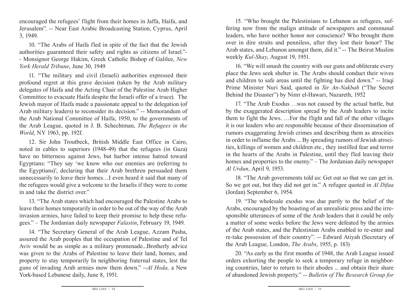encouraged the refugees' flight from their homes in Jaffa, Haifa, and Jerusalem". -- Near East Arabic Broadcasting Station, Cyprus, April 3, 1949.

10. "The Arabs of Haifa fled in spite of the fact that the Jewish authorities guaranteed their safety and rights as citizens of Israel."- - Monsignor George Hakim, Greek Catholic Bishop of Galilee, *New York Herald Tribune*, June 30, 1949

11. "The military and civil (Israeli) authorities expressed their profound regret at this grave decision (taken by the Arab military delegates of Haifa and the Acting Chair of the Palestine Arab Higher Committee to evacuate Haifa despite the Israeli offer of a truce). The Jewish mayor of Haifa made a passionate appeal to the delegation (of Arab military leaders) to reconsider its decision." -- Memorandum of the Arab National Committee of Haifa, 1950, to the governments of the Arab League, quoted in J. B. Schechtman, *The Refugees in the World*, NY 1963, pp. 192f.

12. Sir John Troutbeck, British Middle East Office in Cairo, noted in cables to superiors (1948-49) that the refugees (in Gaza) have no bitterness against Jews, but harbor intense hatred toward Egyptians: "They say 'we know who our enemies are (referring to the Egyptians)', declaring that their Arab brethren persuaded them unnecessarily to leave their homes…I even heard it said that many of the refugees would give a welcome to the Israelis if they were to come in and take the district over."

13. "The Arab states which had encouraged the Palestine Arabs to leave their homes temporarily in order to be out of the way of the Arab invasion armies, have failed to keep their promise to help these refugees." – The Jordanian daily newspaper *Falastin*, February 19, 1949.

14. "The Secretary General of the Arab League, Azzam Pasha, assured the Arab peoples that the occupation of Palestine and of Tel Aviv would be as simple as a military promenade...Brotherly advice was given to the Arabs of Palestine to leave their land, homes, and property to stay temporarily In neighboring fraternal states, lest the guns of invading Arab armies mow them down." --*Al Hoda,* a New York-based Lebanese daily, June 8, 1951.

15. "Who brought the Palestinians to Lebanon as refugees, suffering now from the malign attitude of newspapers and communal leaders, who have neither honor nor conscience? Who brought them over in dire straits and penniless, after they lost their honor? The Arab states, and Lebanon amongst them, did it." -- The Beirut Muslim weekly *Kul-Shay*, August 19, 1951.

16. "We will smash the country with our guns and obliterate every place the Jews seek shelter in. The Arabs should conduct their wives and children to safe areas until the fighting has died down." -- Iraqi Prime Minister Nuri Said, quoted in *Sir An-Nakbah* ("The Secret Behind the Disaster") by Nimr el-Hawari, Nazareth, 1952

17. "The Arab Exodus …was not caused by the actual battle, but by the exaggerated description spread by the Arab leaders to incite them to fight the Jews. …For the flight and fall of the other villages it is our leaders who are responsible because of their dissemination of rumors exaggerating Jewish crimes and describing them as atrocities in order to inflame the Arabs ... By spreading rumors of Jewish atrocities, killings of women and children etc., they instilled fear and terror in the hearts of the Arabs in Palestine, until they fled leaving their homes and properties to the enemy." – The Jordanian daily newspaper *Al Urdun*, April 9, 1953.

18. "The Arab governments told us: Get out so that we can get in. So we got out, but they did not get in." A refugee quoted in *Al Difaa* (Jordan) September 6, 1954.

19. "The wholesale exodus was due partly to the belief of the Arabs, encouraged by the boasting of an unrealistic press and the irresponsible utterances of some of the Arab leaders that it could be only a matter of some weeks before the Jews were defeated by the armies of the Arab states, and the Palestinian Arabs enabled to re-enter and re-take possession of their country". -- Edward Atiyah (Secretary of the Arab League, London, *The Arabs*, 1955, p. 183)

20. "As early as the first months of 1948, the Arab League issued orders exhorting the people to seek a temporary refuge in neighboring countries, later to return to their abodes ... and obtain their share of abandoned Jewish property." -- *Bulletin of The Research Group for*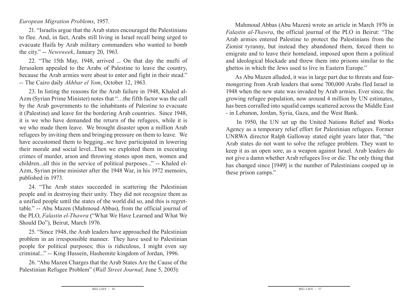#### *European Migration Problems*, 1957.

21. "Israelis argue that the Arab states encouraged the Palestinians to flee. And, in fact, Arabs still living in Israel recall being urged to evacuate Haifa by Arab military commanders who wanted to bomb the city." -- *Newsweek*, January 20, 1963.

22. "The 15th May, 1948, arrived ... On that day the mufti of Jerusalem appealed to the Arabs of Palestine to leave the country, because the Arab armies were about to enter and fight in their stead." -- The Cairo daily *Akhbar el Yom*, October 12, 1963.

23. In listing the reasons for the Arab failure in 1948, Khaled al-Azm (Syrian Prime Minister) notes that "…the fifth factor was the call by the Arab governments to the inhabitants of Palestine to evacuate it (Palestine) and leave for the bordering Arab countries. Since 1948, it is we who have demanded the return of the refugees, while it is we who made them leave. We brought disaster upon a million Arab refugees by inviting them and bringing pressure on them to leave. We have accustomed them to begging...we have participated in lowering their morale and social level...Then we exploited them in executing crimes of murder, arson and throwing stones upon men, women and children...all this in the service of political purposes..." -- Khaled el-Azm, Syrian prime minister after the 1948 War, in his 1972 memoirs, published in 1973.

24. "The Arab states succeeded in scattering the Palestinian people and in destroying their unity. They did not recognize them as a unified people until the states of the world did so, and this is regrettable." -- Abu Mazen (Mahmoud Abbas), from the official journal of the PLO, *Falastin el-Thawra* ("What We Have Learned and What We Should Do"), Beirut, March 1976.

25. "Since 1948, the Arab leaders have approached the Palestinian problem in an irresponsible manner. They have used to Palestinian people for political purposes; this is ridiculous, I might even say criminal..." -- King Hussein, Hashemite kingdom of Jordan, 1996.

26. "Abu Mazen Charges that the Arab States Are the Cause of the Palestinian Refugee Problem" (*Wall Street Journal*; June 5, 2003):

Mahmoud Abbas (Abu Mazen) wrote an article in March 1976 in *Falastin al-Thawra*, the official journal of the PLO in Beirut: "The Arab armies entered Palestine to protect the Palestinians from the Zionist tyranny, but instead they abandoned them, forced them to emigrate and to leave their homeland, imposed upon them a political and ideological blockade and threw them into prisons similar to the ghettos in which the Jews used to live in Eastern Europe."

As Abu Mazen alluded, it was in large part due to threats and fearmongering from Arab leaders that some 700,000 Arabs fled Israel in 1948 when the new state was invaded by Arab armies. Ever since, the growing refugee population, now around 4 million by UN estimates, has been corralled into squalid camps scattered across the Middle East - in Lebanon, Jordan, Syria, Gaza, and the West Bank.

In 1950, the UN set up the United Nations Relief and Works Agency as a temporary relief effort for Palestinian refugees. Former UNRWA director Ralph Galloway stated eight years later that, "the Arab states do not want to solve the refugee problem. They want to keep it as an open sore, as a weapon against Israel. Arab leaders do not give a damn whether Arab refugees live or die. The only thing that has changed since [1949] is the number of Palestinians cooped up in these prison camps."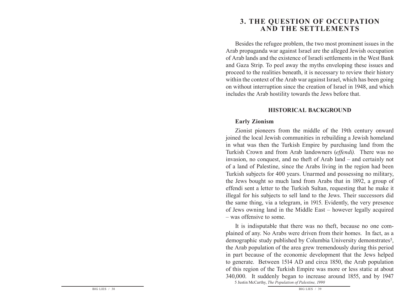#### **3. Th e Question of Occupation and THE SETTLEMENT**

Besides the refugee problem, the two most prominent issues in the Arab propaganda war against Israel are the alleged Jewish occupation of Arab lands and the existence of Israeli settlements in the West Bank and Gaza Strip. To peel away the myths enveloping these issues and proceed to the realities beneath, it is necessary to review their history within the context of the Arab war against Israel, which has been going on without interruption since the creation of Israel in 1948, and which includes the Arab hostility towards the Jews before that.

#### **HISTORICAL BACKGROUND**

#### **Early Zionism**

Zionist pioneers from the middle of the 19th century onward joined the local Jewish communities in rebuilding a Jewish homeland in what was then the Turkish Empire by purchasing land from the Turkish Crown and from Arab landowners (*effendi).* There was no invasion, no conquest, and no theft of Arab land – and certainly not of a land of Palestine, since the Arabs living in the region had been Turkish subjects for 400 years. Unarmed and possessing no military, the Jews bought so much land from Arabs that in 1892, a group of effendi sent a letter to the Turkish Sultan, requesting that he make it illegal for his subjects to sell land to the Jews. Their successors did the same thing, via a telegram, in 1915. Evidently, the very presence of Jews owning land in the Middle East – however legally acquired – was offensive to some.

It is indisputable that there was no theft, because no one complained of any. No Arabs were driven from their homes. In fact, as a demographic study published by Columbia University demonstrates 5, the Arab population of the area grew tremendously during this period in part because of the economic development that the Jews helped to generate. Between 1514 AD and circa 1850, the Arab population of this region of the Turkish Empire was more or less static at about 340,000. It suddenly began to increase around 1855, and by 1947

5 Justin McCarthy, *The Population of Palestine, 1990*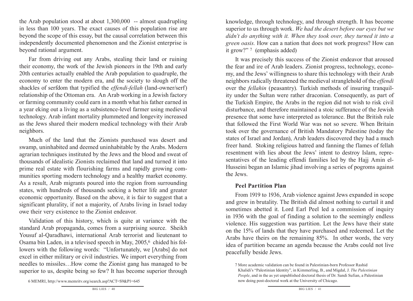the Arab population stood at about 1,300,000 -- almost quadrupling in less than 100 years. The exact causes of this population rise are beyond the scope of this essay, but the causal correlation between this independently documented phenomenon and the Zionist enterprise is beyond rational argument.

Far from driving out any Arabs, stealing their land or ruining their economy, the work of the Jewish pioneers in the 19th and early 20th centuries actually enabled the Arab population to quadruple, the economy to enter the modern era, and the society to slough off the shackles of serfdom that typified the *effendi-fellah* (land-owner/serf) relationship of the Ottoman era. An Arab working in a Jewish factory or farming community could earn in a month what his father earned in a year eking out a living as a subsistence-level farmer using medieval technology. Arab infant mortality plummeted and longevity increased as the Jews shared their modern medical technology with their Arab neighbors.

Much of the land that the Zionists purchased was desert and swamp, uninhabited and deemed uninhabitable by the Arabs. Modern agrarian techniques instituted by the Jews and the blood and sweat of thousands of idealistic Zionists reclaimed that land and turned it into prime real estate with flourishing farms and rapidly growing communities sporting modern technology and a healthy market economy. As a result, Arab migrants poured into the region from surrounding states, with hundreds of thousands seeking a better life and greater economic opportunity. Based on the above, it is fair to suggest that a significant plurality, if not a majority, of Arabs living in Israel today owe their very existence to the Zionist endeavor.

Validation of this history, which is quite at variance with the standard Arab propaganda, comes from a surprising source. Sheikh Yousuf al-Qaradhawi, international Arab terrorist and lieutenant to Osama bin Laden, in a televised speech in May, 2005,<sup>6</sup> chided his followers with the following words: "Unfortunately, we [Arabs] do not excel in either military or civil industries. We import everything from needles to missiles…How come the Zionist gang has managed to be superior to us, despite being so few? It has become superior through

6 MEMRI, http://www.memritv.org/search.asp?ACT=S9&P1=645

It was precisely this success of the Zionist endeavor that aroused the fear and ire of Arab leaders. Zionist progress, technology, economy, and the Jews' willingness to share this technology with their Arab neighbors radically threatened the medieval stranglehold of the *effendi*  over the *fellahin* (peasantry). Turkish methods of insuring tranquility under the Sultan were rather draconian. Consequently, as part of the Turkish Empire, the Arabs in the region did not wish to risk civil disturbance, and therefore maintained a stoic sufferance of the Jewish presence that some have interpreted as tolerance. But the British rule that followed the First World War was not so severe. When Britain took over the governance of British Mandatory Palestine (today the states of Israel and Jordan), Arab leaders discovered they had a much freer hand. Stoking religious hatred and fanning the flames of fellah resentment with lies about the Jews' intent to destroy Islam, representatives of the leading effendi families led by the Hajj Amin el-Husseini began an Islamic jihad involving a series of pogroms against the Jews.

#### **Peel Partition Plan**

From 1919 to 1936, Arab violence against Jews expanded in scope and grew in brutality. The British did almost nothing to curtail it and sometimes abetted it. Lord Earl Peel led a commission of inquiry in 1936 with the goal of finding a solution to the seemingly endless violence. His suggestion was partition. Let the Jews have their state on the 15% of lands that they have purchased and redeemed. Let the Arabs have theirs on the remaining 85%. In other words, the very idea of partition became an agenda because the Arabs could not live peacefully beside Jews.

<sup>7</sup> More academic validation can be found in Palestinian-born Professor Rashid Khalidi's "Palestinian Identity", in Kimmerling, B., and Migdal, J. *The Palestinian People*, and in the as yet unpublished doctoral thesis of Dr. Sandi Sufian, a Palestinian now doing post-doctoral work at the University of Chicago.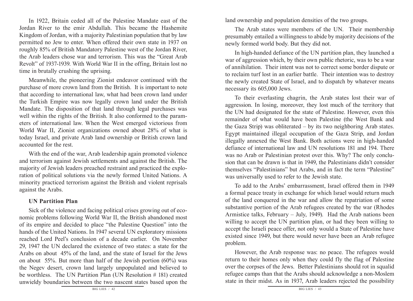In 1922, Britain ceded all of the Palestine Mandate east of the Jordan River to the emir Abdullah. This became the Hashemite Kingdom of Jordan, with a majority Palestinian population that by law permitted no Jew to enter. When offered their own state in 1937 on roughly 85% of British Mandatory Palestine west of the Jordan River, the Arab leaders chose war and terrorism. This was the "Great Arab Revolt" of 1937-1939. With World War II in the offing, Britain lost no time in brutally crushing the uprising.

Meanwhile, the pioneering Zionist endeavor continued with the purchase of more crown land from the British. It is important to note that according to international law, what had been crown land under the Turkish Empire was now legally crown land under the British Mandate. The disposition of that land through legal purchases was well within the rights of the British. It also conformed to the parameters of international law. When the West emerged victorious from World War II, Zionist organizations owned about 28% of what is today Israel, and private Arab land ownership or British crown land accounted for the rest.

With the end of the war, Arab leadership again promoted violence and terrorism against Jewish settlements and against the British. The majority of Jewish leaders preached restraint and practiced the exploration of political solutions via the newly formed United Nations. A minority practiced terrorism against the British and violent reprisals against the Arabs.

#### **UN Partition Plan**

Sick of the violence and facing political crises growing out of economic problems following World War II, the British abandoned most of its empire and decided to place "the Palestine Question" into the hands of the United Nations. In 1947 several UN exploratory missions reached Lord Peel's conclusion of a decade earlier. On November 29, 1947 the UN declared the existence of two states: a state for the Arabs on about 45% of the land, and the state of Israel for the Jews on about 55%. But more than half of the Jewish portion (60%) was the Negev desert, crown land largely unpopulated and believed to be worthless. The UN Partition Plan (UN Resolution # 181) created unwieldy boundaries between the two nascent states based upon the

land ownership and population densities of the two groups.

The Arab states were members of the UN. Their membership presumably entailed a willingness to abide by majority decisions of the newly formed world body. But they did not.

In high-handed defiance of the UN partition plan, they launched a war of aggression which, by their own public rhetoric, was to be a war of annihilation. Their intent was not to correct some border dispute or to reclaim turf lost in an earlier battle. Their intention was to destroy the newly created State of Israel, and to dispatch by whatever means necessary its 605,000 Jews.

To their everlasting chagrin, the Arab states lost their war of aggression. In losing, moreover, they lost much of the territory that the UN had designated for the state of Palestine. However, even this remainder of what would have been Palestine (the West Bank and the Gaza Strip) was obliterated – by its two neighboring Arab states. Egypt maintained illegal occupation of the Gaza Strip, and Jordan illegally annexed the West Bank. Both actions were in high-handed defiance of international law and UN resolutions 181 and 194. There was no Arab or Palestinian protest over this. Why? The only conclusion that can be drawn is that in 1949, the Palestinians didn't consider themselves "Palestinians" but Arabs, and in fact the term "Palestine" was universally used to refer to the Jewish state.

To add to the Arabs' embarrassment, Israel offered them in 1949 a formal peace treaty in exchange for which Israel would return much of the land conquered in the war and allow the repatriation of some substantive portion of the Arab refugees created by the war (Rhodes Armistice talks, February – July, 1949). Had the Arab nations been willing to accept the UN partition plan, or had they been willing to accept the Israeli peace offer, not only would a State of Palestine have existed since 1949, but there would never have been an Arab refugee problem.

However, the Arab response was: no peace. The refugees would return to their homes only when they could fly the flag of Palestine over the corpses of the Jews. Better Palestinians should rot in squalid refugee camps than that the Arabs should acknowledge a non-Moslem state in their midst. As in 1937, Arab leaders rejected the possibility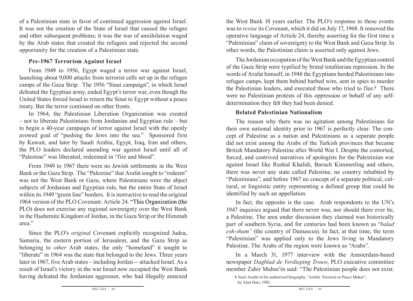of a Palestinian state in favor of continued aggression against Israel. It was not the creation of the State of Israel that caused the refugee and other subsequent problems; it was the war of annihilation waged by the Arab states that created the refugees and rejected the second opportunity for the creation of a Palestinian state.

#### **Pre-1967 Terrorism Against Israel**

From 1949 to 1956, Egypt waged a terror war against Israel, launching about 9,000 attacks from terrorist cells set up in the refugee camps of the Gaza Strip. The 1956 "Sinai campaign", in which Israel defeated the Egyptian army, ended Egypt's terror war, even though the United States forced Israel to return the Sinai to Egypt without a peace treaty. But the terror continued on other fronts.

In 1964, the Palestinian Liberation Organization was created – not to liberate Palestinians from Jordanian and Egyptian rule – but to begin a 40-year campaign of terror against Israel with the openly avowed goal of "pushing the Jews into the sea." Sponsored first by Kuwait, and later by Saudi Arabia, Egypt, Iraq, Iran and others, the PLO leaders declared unending war against Israel until all of "Palestine" was liberated, redeemed in "fire and blood".

From 1949 to 1967 there were no Jewish settlements in the West Bank or the Gaza Strip. The "Palestine" that Arafat sought to "redeem" was not the West Bank or Gaza, where Palestinians were the abject subjects of Jordanian and Egyptian rule, but the entire State of Israel within its 1949 "green line" borders. It is instructive to read the original 1964 version of the PLO Covenant: Article 24. "This Organization (the PLO) does not exercise any regional sovereignty over the West Bank in the Hashemite Kingdom of Jordan, in the Gaza Strip or the Himmah area<sup>"</sup>

Since the PLO's *original* Covenant explicitly recognized Judea, Samaria, the eastern portion of Jerusalem, and the Gaza Strip as belonging to *other* Arab states, the only "homeland" it sought to "liberate" in 1964 was the state that belonged to the Jews. Three years later in 1967, five Arab states – including Jordan -- attacked Israel. As a result of Israel's victory in the war Israel now occupied the West Bank having defeated the Jordanian aggressor, who had illegally annexed the West Bank 18 years earlier. The PLO's response to these events was to *revise* its Covenant, which it did on July 17, 1968. It removed the operative language of Article 24, thereby asserting for the first time a "Palestinian" claim of sovereignty to the West Bank and Gaza Strip. In other words, the Palestinian claim is asserted only against Jews.

The Jordanian occupation of the West Bank and the Egyptian control of the Gaza Strip were typified by brutal totalitarian repression. In the words of Arafat himself, in 1948 the Egyptians herded Palestinians into refugee camps, kept them behind barbed wire, sent in spies to murder the Palestinian leaders, and executed those who tried to flee.8 There were no Palestinian protests of this oppression or behalf of any selfdetermination they felt they had been denied.

#### **Belated Palestinian Nationalism**

The reason why there was no agitation among Palestinians for their own national identity prior to 1967 is perfectly clear. The concept of Palestine as a nation and Palestinians as a separate people did not exist among the Arabs of the Turkish provinces that became British Mandatory Palestine after World War I. Despite the contorted, forced, and contrived narratives of apologists for the Palestinian war against Israel like Rashid Khalidi, Baruch Kimmerling and others, there was never any state called Palestine, no country inhabited by "Palestinians", and before 1967 no concept of a separate political, cultural, or linguistic entity representing a defined group that could be identified by such an appellation.

In fact, the opposite is the case. Arab respondents to the UN's 1947 inquiries argued that there never was, nor should there ever be, a Palestine. The area under discussion they claimed was historically part of southern Syria, and for centuries had been known as "*balad esh-sham"* (the country of Damascus). In fact, at that time, the term "Palestinian" was applied only to the Jews living in Mandatory Palestine. The Arabs of the region were known as "Arabs".

In a March 31, 1977 interview with the Amsterdam-based newspaper *Dagblad de Verdieping Trouw*, PLO executive committee member Zahir Muhse'in said: "The Palestinian people does not exist.

<sup>8</sup> Yasir Arafat in his authorized biography, "Arafat: Terrorist or Peace Maker",

by Alan Hart, 1982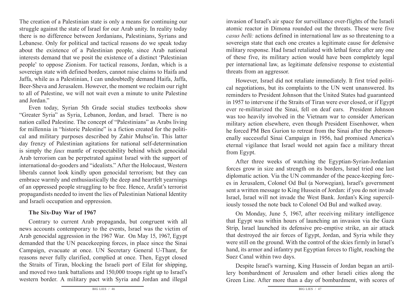The creation of a Palestinian state is only a means for continuing our struggle against the state of Israel for our Arab unity. In reality today there is no difference between Jordanians, Palestinians, Syrians and Lebanese. Only for political and tactical reasons do we speak today about the existence of a Palestinian people, since Arab national interests demand that we posit the existence of a distinct 'Palestinian people' to oppose Zionism. For tactical reasons, Jordan, which is a sovereign state with defined borders, cannot raise claims to Haifa and Jaffa, while as a Palestinian, I can undoubtedly demand Haifa, Jaffa, Beer-Sheva and Jerusalem. However, the moment we reclaim our right to all of Palestine, we will not wait even a minute to unite Palestine and Jordan."

Even today, Syrian 5th Grade social studies textbooks show "Greater Syria" as Syria, Lebanon, Jordan, and Israel. There is no nation called Palestine. The concept of "Palestinians" as Arabs living for millennia in "historic Palestine" is a fiction created for the political and military purposes described by Zahir Muhse'in. This latter day frenzy of Palestinian agitations for national self-determination is simply the *faux* mantle of respectability behind which genocidal Arab terrorism can be perpetrated against Israel with the support of international do-gooders and "idealists." After the Holocaust, Western liberals cannot look kindly upon genocidal terrorism; but they can embrace warmly and enthusiastically the deep and heartfelt yearnings of an oppressed people struggling to be free. Hence, Arafat's terrorist propagandists needed to invent the lies of Palestinian National Identity and Israeli occupation and oppression.

#### **The Six-Day War of 1967**

Contrary to current Arab propaganda, but congruent with all news accounts contemporary to the events, Israel was the victim of Arab genocidal aggression in the 1967 War. On May 15, 1967, Egypt demanded that the UN peacekeeping forces, in place since the Sinai Campaign, evacuate at once. UN Secretary General U-Thant, for reasons never fully clarified, complied at once. Then, Egypt closed the Straits of Tiran, blocking the Israeli port of Eilat for shipping, and moved two tank battalions and 150,000 troops right up to Israel's western border. A military pact with Syria and Jordan and illegal

invasion of Israel's air space for surveillance over-flights of the Israeli atomic reactor in Dimona rounded out the threats. These were five *casus belli:* actions defined in international law as so threatening to a sovereign state that each one creates a legitimate cause for defensive military response. Had Israel retaliated with lethal force after any one of these five, its military action would have been completely legal per international law, as legitimate defensive response to existential threats from an aggressor.

However, Israel did not retaliate immediately. It first tried political negotiations, but its complaints to the UN went unanswered. Its reminders to President Johnson that the United States had guaranteed in 1957 to intervene if the Straits of Tiran were ever closed, or if Egypt ever re-militarized the Sinai, fell on deaf ears. President Johnson was too heavily involved in the Vietnam war to consider American military action elsewhere, even though President Eisenhower, when he forced PM Ben Gurion to retreat from the Sinai after the phenomenally successful Sinai Campaign in 1956, had promised America's eternal vigilance that Israel would not again face a military threat from Egypt.

After three weeks of watching the Egyptian-Syrian-Jordanian forces grow in size and strength on its borders, Israel tried one last diplomatic action. Via the UN commander of the peace-keeping forces in Jerusalem, Colonel Od Bul (a Norwegian), Israel's government sent a written message to King Hussein of Jordan: if you do not invade Israel, Israel will not invade the West Bank. Jordan's King superciliously tossed the note back to Colonel Od Bul and walked away.

On Monday, June 5, 1967, after receiving military intelligence that Egypt was within hours of launching an invasion via the Gaza Strip, Israel launched its defensive pre-emptive strike, an air attack that destroyed the air forces of Egypt, Jordan, and Syria while they were still on the ground. With the control of the skies firmly in Israel's hand, its armor and infantry put Egyptian forces to flight, reaching the Suez Canal within two days.

Despite Israel's warning, King Hussein of Jordan began an artillery bombardment of Jerusalem and other Israeli cities along the Green Line. After more than a day of bombardment, with scores of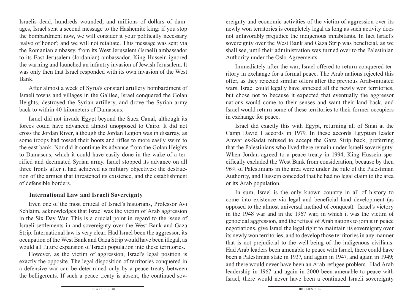Israelis dead, hundreds wounded, and millions of dollars of damages, Israel sent a second message to the Hashemite king: if you stop the bombardment now, we will consider it your politically necessary 'salvo of honor'; and we will not retaliate. This message was sent via the Romanian embassy, from its West Jerusalem (Israeli) ambassador to its East Jerusalem (Jordanian) ambassador. King Hussein ignored the warning and launched an infantry invasion of Jewish Jerusalem. It was only then that Israel responded with its own invasion of the West Bank.

After almost a week of Syria's constant artillery bombardment of Israeli towns and villages in the Galilee, Israel conquered the Golan Heights, destroyed the Syrian artillery, and drove the Syrian army back to within 40 kilometers of Damascus.

Israel did not invade Egypt beyond the Suez Canal, although its forces could have advanced almost unopposed to Cairo. It did not cross the Jordan River, although the Jordan Legion was in disarray, as some troops had tossed their boots and rifles to more easily swim to the east bank. Nor did it continue its advance from the Golan Heights to Damascus, which it could have easily done in the wake of a terrified and decimated Syrian army. Israel stopped its advance on all three fronts after it had achieved its military objectives: the destruction of the armies that threatened its existence, and the establishment of defensible borders.

#### **International Law and Israeli Sovereignty**

Even one of the most critical of Israel's historians, Professor Avi Schlaim, acknowledges that Israel was the victim of Arab aggression in the Six Day War. This is a crucial point in regard to the issue of Israeli settlements in and sovereignty over the West Bank and Gaza Strip. International law is very clear. Had Israel been the aggressor, its occupation of the West Bank and Gaza Strip would have been illegal, as would all future expansion of Israeli population into these territories.

However, as the victim of aggression, Israel's legal position is exactly the opposite. The legal disposition of territories conquered in a defensive war can be determined only by a peace treaty between the belligerents. If such a peace treaty is absent, the continued sovereignty and economic activities of the victim of aggression over its newly won territories is completely legal as long as such activity does not unfavorably prejudice the indigenous inhabitants. In fact Israel's sovereignty over the West Bank and Gaza Strip was beneficial, as we shall see, until their administration was turned over to the Palestinian Authority under the Oslo Agreements.

Immediately after the war, Israel offered to return conquered territory in exchange for a formal peace. The Arab nations rejected this offer, as they rejected similar offers after the previous Arab-initiated wars. Israel could legally have annexed all the newly won territories, but chose not to because it expected that eventually the aggressor nations would come to their senses and want their land back, and Israel would return some of these territories to their former occupiers in exchange for peace.

Israel did exactly this with Egypt, returning all of Sinai at the Camp David I accords in 1979. In these accords Egyptian leader Anwar es-Sadat refused to accept the Gaza Strip back, preferring that the Palestinians who lived there remain under Israeli sovereignty. When Jordan agreed to a peace treaty in 1994, King Hussein specifically excluded the West Bank from consideration, because by then 96% of Palestinians in the area were under the rule of the Palestinian Authority, and Hussein conceded that he had no legal claim to the area or its Arab population.

In sum, Israel is the only known country in all of history to come into existence via legal and beneficial land development (as opposed to the almost universal method of conquest). Israel's victory in the 1948 war and in the 1967 war, in which it was the victim of genocidal aggression, and the refusal of Arab nations to join it in peace negotiations, give Israel the legal right to maintain its sovereignty over its newly won territories, and to develop those territories in any manner that is not prejudicial to the well-being of the indigenous civilians. Had Arab leaders been amenable to peace with Israel, there could have been a Palestinian state in 1937, and again in 1947, and again in 1949; and there would never have been an Arab refugee problem. Had Arab leadership in 1967 and again in 2000 been amenable to peace with Israel, there would never have been a continued Israeli sovereignty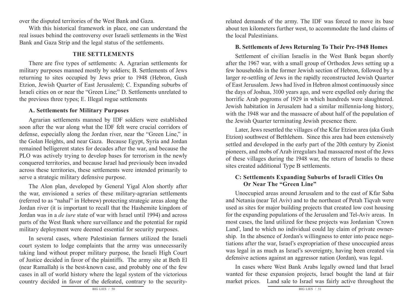over the disputed territories of the West Bank and Gaza.

With this historical framework in place, one can understand the real issues behind the controversy over Israeli settlements in the West Bank and Gaza Strip and the legal status of the settlements.

#### **The Settlements**

There are five types of settlements: A. Agrarian settlements for military purposes manned mostly by soldiers; B. Settlements of Jews returning to sites occupied by Jews prior to 1948 (Hebron, Gush Etzion, Jewish Quarter of East Jerusalem); C. Expanding suburbs of Israeli cities on or near the "Green Line;" D. Settlements unrelated to the previous three types; E. Illegal rogue settlements

#### **A. Settlements for Military Purposes**

Agrarian settlements manned by IDF soldiers were established soon after the war along what the IDF felt were crucial corridors of defense, especially along the Jordan river, near the "Green Line," in the Golan Heights, and near Gaza. Because Egypt, Syria and Jordan remained belligerent states for decades after the war, and because the PLO was actively trying to develop bases for terrorism in the newly conquered territories, and because Israel had previously been invaded across these territories, these settlements were intended primarily to serve a strategic military defensive purpose.

The Alon plan, developed by General Yigal Alon shortly after the war, envisioned a series of these military-agrarian settlements (referred to as "nahal" in Hebrew) protecting strategic areas along the Jordan river (it is important to recall that the Hashemite kingdom of Jordan was in a *de iure* state of war with Israel until 1994) and across parts of the West Bank where surveillance and the potential for rapid military deployment were deemed essential for security purposes.

In several cases, where Palestinian farmers utilized the Israeli court system to lodge complaints that the army was unnecessarily taking land without proper military purpose, the Israeli High Court of Justice decided in favor of the plaintiffs. The army site at Beth El (near Ramallah) is the best-known case, and probably one of the few cases in all of world history where the legal system of the victorious country decided in favor of the defeated, contrary to the securityrelated demands of the army. The IDF was forced to move its base about ten kilometers further west, to accommodate the land claims of the local Palestinians.

#### **B. Settlements of Jews Returning To Their Pre-1948 Homes**

Settlement of civilian Israelis in the West Bank began shortly after the 1967 war, with a small group of Orthodox Jews setting up a few households in the former Jewish section of Hebron, followed by a larger re-settling of Jews in the rapidly reconstructed Jewish Quarter of East Jerusalem. Jews had lived in Hebron almost continuously since the days of Joshua, 3100 years ago, and were expelled only during the horrific Arab pogroms of 1929 in which hundreds were slaughtered. Jewish habitation in Jerusalem had a similar millennia-long history, with the 1948 war and the massacre of about half of the population of the Jewish Quarter terminating Jewish presence there.

Later, Jews resettled the villages of the Kfar Etzion area (aka Gush Etzion) southwest of Bethlehem. Since this area had been extensively settled and developed in the early part of the 20th century by Zionist pioneers, and mobs of Arab irregulars had massacred most of the Jews of these villages during the 1948 war, the return of Israelis to these sites created additional Type B settlements.

#### **C: Settlements Expanding Suburbs of Israeli Cities On Or Near The "Green Line"**

Unoccupied areas around Jerusalem and to the east of Kfar Saba and Netania (near Tel Aviv) and to the northeast of Petah Tiqvah were used as sites for major building projects that created low cost housing for the expanding populations of the Jerusalem and Tel-Aviv areas. In most cases, the land utilized for these projects was Jordanian 'Crown Land', land to which no individual could lay claim of private ownership. In the absence of Jordan's willingness to enter into peace negotiations after the war, Israel's expropriation of these unoccupied areas was legal in as much as Israel's sovereignty, having been created via defensive actions against an aggressor nation (Jordan), was legal.

In cases where West Bank Arabs legally owned land that Israel wanted for these expansion projects, Israel bought the land at fair market prices. Land sale to Israel was fairly active throughout the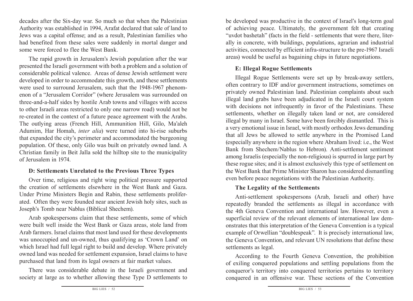decades after the Six-day war. So much so that when the Palestinian Authority was established in 1994, Arafat declared that sale of land to Jews was a capital offense; and as a result, Palestinian families who had benefited from these sales were suddenly in mortal danger and some were forced to flee the West Bank.

The rapid growth in Jerusalem's Jewish population after the war presented the Israeli government with both a problem and a solution of considerable political valence. Areas of dense Jewish settlement were developed in order to accommodate this growth, and these settlements were used to surround Jerusalem, such that the 1948-1967 phenomenon of a "Jerusalem Corridor" (where Jerusalem was surrounded on three-and-a-half sides by hostile Arab towns and villages with access to other Israeli areas restricted to only one narrow road) would not be re-created in the context of a future peace agreement with the Arabs. The outlying areas (French Hill, Ammunition Hill, Gilo, Ma'aleh Adumim, Har Homah, *inter alia*) were turned into hi-rise suburbs that expanded the city's perimeter and accommodated the burgeoning population. Of these, only Gilo was built on privately owned land. A Christian family in Beit Jalla sold the hilltop site to the municipality of Jerusalem in 1974.

#### **D: Settlements Unrelated to the Previous Three Types**

Over time, religious and right wing political pressure supported the creation of settlements elsewhere in the West Bank and Gaza. Under Prime Ministers Begin and Rabin, these settlements proliferated. Often they were founded near ancient Jewish holy sites, such as Joseph's Tomb near Nablus (Biblical Shechem).

Arab spokespersons claim that these settlements, some of which were built well inside the West Bank or Gaza areas, stole land from Arab farmers. Israel claims that most land used for these developments was unoccupied and un-owned, thus qualifying as 'Crown Land' on which Israel had full legal right to build and develop. Where privately owned land was needed for settlement expansion, Israel claims to have purchased that land from its legal owners at fair market values.

There was considerable debate in the Israeli government and society at large as to whether allowing these Type D settlements to be developed was productive in the context of Israel's long-term goal of achieving peace. Ultimately, the government felt that creating "uvdot bashetah" (facts in the field - settlements that were there, literally in concrete, with buildings, populations, agrarian and industrial activities, connected by efficient infra-structure to the pre-1967 Israeli areas) would be useful as bagaining chips in future negotiations.

#### **E: Illegal Rogue Settlements**

Illegal Rogue Settlements were set up by break-away settlers, often contrary to IDF and/or government instructions, sometimes on privately owned Palestinian land. Palestinian complaints about such illegal land grabs have been adjudicated in the Israeli court system with decisions not infrequently in favor of the Palestinians. These settlements, whether on illegally taken land or not, are considered illegal by many in Israel. Some have been forcibly dismantled. This is a very emotional issue in Israel, with mostly orthodox Jews demanding that all Jews be allowed to settle anywhere in the Promised Land (especially anywhere in the region where Abraham lived: i.e., the West Bank from Shechem/Nablus to Hebron). Anti-settlement sentiment among Israelis (especially the non-religious) is spurred in large part by these rogue sites; and it is almost exclusively this type of settlement on the West Bank that Prime Minister Sharon has considered dismantling even before peace negotiations with the Palestinian Authority.

#### **The Legality of the Settlements**

Anti-settlement spokespersons (Arab, Israeli and other) have repeatedly branded the settlements as illegal in accordance with the 4th Geneva Convention and international law. However, even a superficial review of the relevant elements of international law demonstrates that this interpretation of the Geneva Convention is a typical example of Orwellian "doublespeak". It is precisely international law, the Geneva Convention, and relevant UN resolutions that define these settlements as legal.

According to the Fourth Geneva Convention, the prohibition of exiling conquered populations and settling populations from the conqueror's territory into conquered territories pertains to territory conquered in an offensive war. These sections of the Convention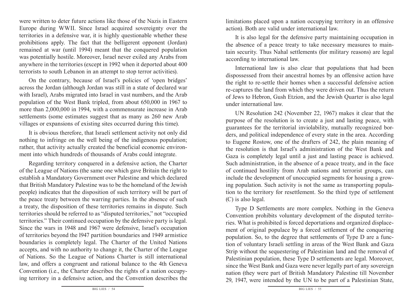were written to deter future actions like those of the Nazis in Eastern Europe during WWII. Since Israel acquired sovereignty over the territories in a defensive war, it is highly questionable whether these prohibitions apply. The fact that the belligerent opponent (Jordan) remained at war (until 1994) meant that the conquered population was potentially hostile. Moreover, Israel never exiled any Arabs from anywhere in the territories (except in 1992 when it deported about 400 terrorists to south Lebanon in an attempt to stop terror activities).

On the contrary, because of Israel's policies of 'open bridges' across the Jordan (although Jordan was still in a state of declared war with Israel), Arabs migrated into Israel in vast numbers, and the Arab population of the West Bank tripled, from about 650,000 in 1967 to more than 2,000,000 in 1994, with a commensurate increase in Arab settlements (some estimates suggest that as many as 260 new Arab villages or expansions of existing sites occurred during this time).

It is obvious therefore, that Israeli settlement activity not only did nothing to infringe on the well being of the indigenous population; rather, that activity actually created the beneficial economic environment into which hundreds of thousands of Arabs could integrate.

Regarding territory conquered in a defensive action, the Charter of the League of Nations (the same one which gave Britain the right to establish a Mandatory Government over Palestine and which declared that British Mandatory Palestine was to be the homeland of the Jewish people) indicates that the disposition of such territory will be part of the peace treaty between the warring parties. In the absence of such a treaty, the disposition of these territories remains in dispute. Such territories should be referred to as "disputed territories," not "occupied territories." Their continued occupation by the defensive party is legal. Since the wars in 1948 and 1967 were defensive, Israel's occupation of territories beyond the l947 partition boundaries and 1949 armistice boundaries is completely legal. The Charter of the United Nations accepts, and with no authority to change it, the Charter of the League of Nations. So the League of Nations Charter is still international law, and offers a congruent and rational balance to the 4th Geneva Convention (i.e., the Charter describes the rights of a nation occupying territory in a defensive action, and the Convention describes the

limitations placed upon a nation occupying territory in an offensive action). Both are valid under international law.

It is also legal for the defensive party maintaining occupation in the absence of a peace treaty to take necessary measures to maintain security. Thus Nahal settlements (for military reasons) are legal according to international law.

International law is also clear that populations that had been dispossessed from their ancestral homes by an offensive action have the right to re-settle their homes when a successful defensive action re-captures the land from which they were driven out. Thus the return of Jews to Hebron, Gush Etzion, and the Jewish Quarter is also legal under international law.

UN Resolution 242 (November 22, 1967) makes it clear that the purpose of the resolution is to create a just and lasting peace, with guarantees for the territorial inviolability, mutually recognized borders, and political independence of every state in the area. According to Eugene Rostow, one of the drafters of 242, the plain meaning of the resolution is that Israel's administration of the West Bank and Gaza is completely legal until a just and lasting peace is achieved. Such administration, in the absence of a peace treaty, and in the face of continued hostility from Arab nations and terrorist groups, can include the development of unoccupied segments for housing a growing population. Such activity is not the same as transporting population to the territory for resettlement. So the third type of settlement (C) is also legal.

Type D Settlements are more complex. Nothing in the Geneva Convention prohibits voluntary development of the disputed territories. What is prohibited is forced deportations and organized displacement of original populace by a forced settlement of the conquering population. So, to the degree that settlements of Type D are a function of voluntary Israeli settling in areas of the West Bank and Gaza Strip without the sequestering of Palestinian land and the removal of Palestinian population, these Type D settlements are legal. Moreover, since the West Bank and Gaza were never legally part of any sovereign nation (they were part of British Mandatory Palestine till November 29, 1947, were intended by the UN to be part of a Palestinian State,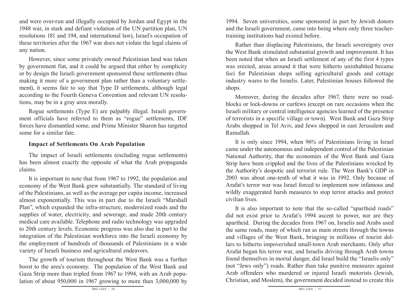and were over-run and illegally occupied by Jordan and Egypt in the 1948 war, in stark and defiant violation of the UN partition plan, UN resolutions 181 and 194, and international law), Israel's occupation of these territories after the 1967 war does not violate the legal claims of any nation.

However, since some privately owned Palestinian land was taken by government fiat, and it could be argued that either by complicity or by design the Israeli government sponsored these settlements (thus making it more of a government plan rather than a voluntary settlement), it seems fair to say that Type D settlements, although legal according to the Fourth Geneva Convention and relevant UN resolutions, may be in a gray area morally.

Rogue settlements (Type E) are palpably illegal. Israeli government officials have referred to them as "rogue" settlements, IDF forces have dismantled some, and Prime Minister Sharon has targeted some for a similar fate.

#### **Impact of Settlements On Arab Population**

The impact of Israeli settlements (excluding rogue settlements) has been almost exactly the opposite of what the Arab propaganda claims.

It is important to note that from 1967 to 1992, the population and economy of the West Bank grew substantially. The standard of living of the Palestinians, as well as the average per capita income, increased almost exponentially. This was in part due to the Israeli "Marshall Plan", which expanded the infra-structure, modernized roads and the supplies of water, electricity, and sewerage, and made 20th century medical care available. Telephone and radio technology was upgraded to 20th century levels. Economic progress was also due in part to the integration of the Palestinian workforce into the Israeli economy by the employment of hundreds of thousands of Palestinians in a wide variety of Israeli business and agricultural endeavors.

The growth of tourism throughout the West Bank was a further boost to the area's economy. The population of the West Bank and Gaza Strip more than tripled from 1967 to 1994, with an Arab population of about 950,000 in 1967 growing to more than 3,000,000 by 1994. Seven universities, some sponsored in part by Jewish donors and the Israeli government, came into being where only three teachertraining institutions had existed before.

Rather than displacing Palestinians, the Israeli sovereignty over the West Bank stimulated substantial growth and improvement. It has been noted that when an Israeli settlement of any of the first 4 types was erected, areas around it that were hitherto uninhabited became foci for Palestinian shops selling agricultural goods and cottage industry wares to the Israelis. Later, Palestinian houses followed the shops.

Moreover, during the decades after 1967, there were no roadblocks or lock-downs or curfews (except on rare occasions when the Israeli military or central intelligence agencies learned of the presence of terrorists in a specific village or town). West Bank and Gaza Strip Arabs shopped in Tel Aviv, and Jews shopped in east Jerusalem and Ramallah.

It is only since 1994, when 96% of Palestinians living in Israel came under the autonomous and independent control of the Palestinian National Authority, that the economies of the West Bank and Gaza Strip have been crippled and the lives of the Palestinians wrecked by the Authority's despotic and terrorist rule. The West Bank's GDP in 2003 was about one-tenth of what it was in 1992. Only because of Arafat's terror war was Israel forced to implement now infamous and wildly exaggerated harsh measures to stop terror attacks and protect civilian lives.

It is also important to note that the so-called "apartheid roads" did not exist prior to Arafat's 1994 ascent to power, nor are they apartheid. During the decades from 1967 on, Israelis and Arabs used the same roads, many of which ran as main streets through the towns and villages of the West Bank, bringing in millions of tourist dollars to hitherto impoverished small-town Arab merchants. Only after Arafat began his terror war, and Israelis driving through Arab towns found themselves in mortal danger, did Israel build the "Israelis only" (not "Jews only") roads. Rather than take punitive measures against Arab offenders who murdered or injured Israeli motorists (Jewish, Christian, and Moslem), the government decided instead to create this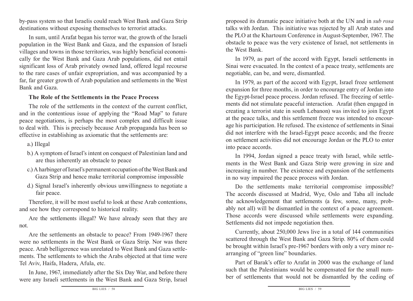by-pass system so that Israelis could reach West Bank and Gaza Strip destinations without exposing themselves to terrorist attacks.

In sum, until Arafat began his terror war, the growth of the Israeli population in the West Bank and Gaza, and the expansion of Israeli villages and towns in those territories, was highly beneficial economically for the West Bank and Gaza Arab populations, did not entail significant loss of Arab privately owned land, offered legal recourse to the rare cases of unfair expropriation, and was accompanied by a far, far greater growth of Arab population and settlements in the West Bank and Gaza.

#### **The Role of the Settlements in the Peace Process**

The role of the settlements in the context of the current conflict, and in the contentious issue of applying the "Road Map" to future peace negotiations, is perhaps the most complex and difficult issue to deal with. This is precisely because Arab propaganda has been so effective in establishing as axiomatic that the settlements are:

- a.) Illegal
- b.) A symptom of Israel's intent on conquest of Palestinian land and are thus inherently an obstacle to peace
- c.) A harbinger of Israel's permanent occupation of the West Bank and Gaza Strip and hence make territorial compromise impossible
- d.) Signal Israel's inherently obvious unwillingness to negotiate a fair peace.

Therefore, it will be most useful to look at these Arab contentions, and see how they correspond to historical reality.

Are the settlements illegal? We have already seen that they are not.

Are the settlements an obstacle to peace? From 1949-1967 there were no settlements in the West Bank or Gaza Strip. Nor was there peace. Arab belligerence was unrelated to West Bank and Gaza settlements. The settlements to which the Arabs objected at that time were Tel Aviv, Haifa, Hadera, Afula, etc.

In June, 1967, immediately after the Six Day War, and before there were any Israeli settlements in the West Bank and Gaza Strip, Israel

proposed its dramatic peace initiative both at the UN and in *sub rosa* talks with Jordan. This initiative was rejected by all Arab states and the PLO at the Khartoum Conference in August-September, 1967. The obstacle to peace was the very existence of Israel, not settlements in the West Bank.

In 1979, as part of the accord with Egypt, Israeli settlements in Sinai were evacuated. In the context of a peace treaty, settlements are negotiable, can be, and were, dismantled.

In 1979, as part of the accord with Egypt, Israel froze settlement expansion for three months, in order to encourage entry of Jordan into the Egypt-Israel peace process. Jordan refused. The freezing of settlements did not stimulate peaceful interaction. Arafat (then engaged in creating a terrorist state in south Lebanon) was invited to join Egypt at the peace talks, and this settlement freeze was intended to encourage his participation. He refused. The existence of settlements in Sinai did not interfere with the Israel-Egypt peace accords; and the freeze on settlement activities did not encourage Jordan or the PLO to enter into peace accords.

In 1994, Jordan signed a peace treaty with Israel, while settlements in the West Bank and Gaza Strip were growing in size and increasing in number. The existence and expansion of the settlements in no way impaired the peace process with Jordan.

Do the settlements make territorial compromise impossible? The accords discussed at Madrid, Wye, Oslo and Taba all include the acknowledgement that settlements (a few, some, many, probably not all) will be dismantled in the context of a peace agreement. Those accords were discussed while settlements were expanding. Settlements did not impede negotiation then.

Currently, about 250,000 Jews live in a total of 144 communities scattered through the West Bank and Gaza Strip. 80% of them could be brought within Israel's pre-1967 borders with only a very minor rearranging of "green line" boundaries.

Part of Barak's offer to Arafat in 2000 was the exchange of land such that the Palestinians would be compensated for the small number of settlements that would not be dismantled by the ceding of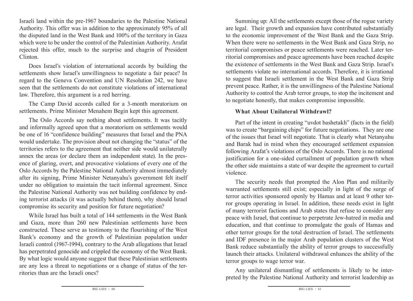Israeli land within the pre-1967 boundaries to the Palestine National Authority. This offer was in addition to the approximately 95% of all the disputed land in the West Bank and 100% of the territory in Gaza which were to be under the control of the Palestinian Authority. Arafat rejected this offer, much to the surprise and chagrin of President Clinton.

Does Israel's violation of international accords by building the settlements show Israel's unwillingness to negotiate a fair peace? In regard to the Geneva Convention and UN Resolution 242, we have seen that the settlements do not constitute violations of international law. Therefore, this argument is a red herring.

The Camp David accords called for a 3-month moratorium on settlements. Prime Minister Menahem Begin kept this agreement.

The Oslo Accords say nothing about settlements. It was tacitly and informally agreed upon that a moratorium on settlements would be one of 16 "confidence building" measures that Israel and the PNA would undertake. The provision about not changing the "status" of the territories refers to the agreement that neither side would unilaterally annex the areas (or declare them an independent state). In the presence of glaring, overt, and provocative violations of every one of the Oslo Accords by the Palestine National Authority almost immediately after its signing, Prime Minister Netanyahu's government felt itself under no obligation to maintain the tacit informal agreement. Since the Palestine National Authority was not building confidence by ending terrorist attacks (it was actually behind them), why should Israel compromise its security and position for future negotiation?

While Israel has built a total of 144 settlements in the West Bank and Gaza, more than 260 new Palestinian settlements have been constructed. These serve as testimony to the flourishing of the West Bank's economy and the growth of Palestinian population under Israeli control (1967-1994), contrary to the Arab allegations that Israel has perpetrated genocide and crippled the economy of the West Bank. By what logic would anyone suggest that these Palestinian settlements are any less a threat to negotiations or a change of status of the territories than are the Israeli ones?

Summing up: All the settlements except those of the rogue variety are legal. Their growth and expansion have contributed substantially to the economic improvement of the West Bank and the Gaza Strip. When there were no settlements in the West Bank and Gaza Strip, no territorial compromises or peace settlements were reached. Later territorial compromises and peace agreements have been reached despite the existence of settlements in the West Bank and Gaza Strip. Israel's settlements violate no international accords. Therefore, it is irrational to suggest that Israeli settlement in the West Bank and Gaza Strip prevent peace. Rather, it is the unwillingness of the Palestine National Authority to control the Arab terror groups, to stop the incitement and to negotiate honestly, that makes compromise impossible.

#### **What About Unilateral Withdrawl?**

Part of the intent in creating "uvdot bashetakh" (facts in the field) was to create "bargaining chips" for future negotiations. They are one of the issues that Israel will negotiate. That is clearly what Netanyahu and Barak had in mind when they encouraged settlement expansion following Arafat's violations of the Oslo Accords. There is no rational justification for a one-sided curtailment of population growth when the other side maintains a state of war despite the agreement to curtail violence.

The security needs that prompted the Alon Plan and militarily warranted settlements still exist; especially in light of the surge of terror activities sponsored openly by Hamas and at least 9 other terror groups operating in Israel. In addition, these needs exist in light of many terrorist factions and Arab states that refuse to consider any peace with Israel, that continue to perpetrate Jew-hatred in media and education, and that continue to promulgate the goals of Hamas and other terror groups for the total destruction of Israel. The settlements and IDF presence in the major Arab population clusters of the West Bank reduce substantially the ability of terror groups to successfully launch their attacks. Unilateral withdrawal enhances the ability of the terror groups to wage terror war.

Any unilateral dismantling of settlements is likely to be interpreted by the Palestine National Authority and terrorist leadership as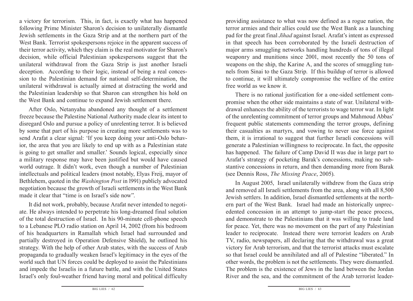a victory for terrorism. This, in fact, is exactly what has happened following Prime Minister Sharon's decision to unilaterally dismantle Jewish settlements in the Gaza Strip and at the northern part of the West Bank. Terrorist spokespersons rejoice in the apparent success of their terror activity, which they claim is the real motivator for Sharon's decision, while official Palestinian spokespersons suggest that the unilateral withdrawal from the Gaza Strip is just another Israeli deception. According to their logic, instead of being a real concession to the Palestinian demand for national self-determination, the unilateral withdrawal is actually aimed at distracting the world and the Palestinian leadership so that Sharon can strengthen his hold on the West Bank and continue to expand Jewish settlement there.

After Oslo, Netanyahu abandoned any thought of a settlement freeze because the Palestine National Authority made clear its intent to disregard Oslo and pursue a policy of unrelenting terror. It is believed by some that part of his purpose in creating more settlements was to send Arafat a clear signal: 'If you keep doing your anti-Oslo behavior, the area that you are likely to end up with as a Palestinian state is going to get smaller and smaller.' Sounds logical, especially since a military response may have been justified but would have caused world outrage. It didn't work, even though a number of Palestinian intellectuals and political leaders (most notably, Elyas Freij, mayor of Bethlehem, quoted in the *Washington Post* in l991) publicly advocated negotiation because the growth of Israeli settlements in the West Bank made it clear that "time is on Israel's side now".

It did not work, probably, because Arafat never intended to negotiate. He always intended to perpetrate his long-dreamed final solution of the total destruction of Israel. In his 90-minute cell-phone speech to a Lebanese PLO radio station on April 14, 2002 (from his bedroom of his headquarters in Ramallah which Israel had surrounded and partially destroyed in Operation Defensive Shield), he outlined his strategy. With the help of other Arab states, with the success of Arab propaganda to gradually weaken Israel's legitimacy in the eyes of the world such that UN forces could be deployed to assist the Palestinians and impede the Israelis in a future battle, and with the United States Israel's only foul-weather friend having moral and political difficulty

providing assistance to what was now defined as a rogue nation, the terror armies and their allies could use the West Bank as a launching pad for the great final *Jihad* against Israel. Arafat's intent as expressed in that speech has been corroborated by the Israeli destruction of major arms smuggling networks handling hundreds of tons of illegal weaponry and munitions since 2001, most recently the 50 tons of weapons on the ship, the Karine A, and the scores of smuggling tunnels from Sinai to the Gaza Strip. If this buildup of terror is allowed to continue, it will ultimately compromise the welfare of the entire free world as we know it.

There is no rational justification for a one-sided settlement compromise when the other side maintains a state of war. Unilateral withdrawal enhances the ability of the terrorists to wage terror war. In light of the unrelenting commitment of terror groups and Mahmoud Abbas' frequent public statements commending the terror groups, defining their casualties as martyrs, and vowing to never use force against them, it is irrational to suggest that further Israeli concessions will generate a Palestinian willingness to reciprocate. In fact, the opposite has happened. The failure of Camp David II was due in large part to Arafat's strategy of pocketing Barak's concessions, making no substantive concessions in return, and then demanding more from Barak (see Dennis Ross, *The Missing Peace*, 2005).

In August 2005, Israel unilaterally withdrew from the Gaza strip and removed all Israeli settlements from the area, along with all 8,500 Jewish settlers. In addition, Israel dismantled settlements at the northern part of the West Bank. Israel had made an historically unprecedented concession in an attempt to jump-start the peace process, and demonstrate to the Palestinians that it was willing to trade land for peace. Yet, there was no movement on the part of any Palestinian leader to reciprocate. Instead there were terrorist leaders on Arab TV, radio, newspapers, all declaring that the withdrawal was a great victory for Arab terrorism, and that the terrorist attacks must escalate so that Israel could be annihilated and all of Palestine "liberated." In other words, the problem is not the settlements. They were dismantled. The problem is the existence of Jews in the land between the Jordan River and the sea, and the commitment of the Arab terrorist leader-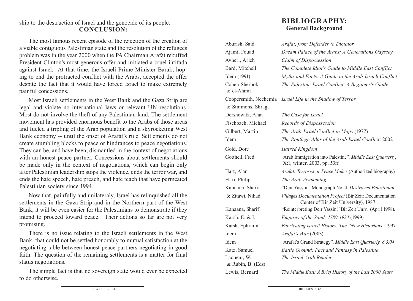#### ship to the destruction of Israel and the genocide of its people. **CONCLUSION:**

The most famous recent episode of the rejection of the creation of a viable contiguous Palestinian state and the resolution of the refugees problem was in the year 2000 when the PA Chairman Arafat rebuffed President Clinton's most generous offer and initiated a cruel intifada against Israel. At that time, the Israeli Prime Minister Barak, hoping to end the protracted conflict with the Arabs, accepted the offer despite the fact that it would have forced Israel to make extremely painful concessions.

Most Israeli settlements in the West Bank and the Gaza Strip are legal and violate no international laws or relevant UN resolutions. Most do not involve the theft of any Palestinian land. The settlement movement has provided enormous benefit to the Arabs of those areas and fueled a tripling of the Arab population and a skyrocketing West Bank economy -- until the onset of Arafat's rule. Settlements do not create stumbling blocks to peace or hindrances to peace negotiations. They can be, and have been, dismantled in the context of negotiations with an honest peace partner. Concessions about settlements should be made only in the context of negotiations, which can begin only after Palestinian leadership stops the violence, ends the terror war, and ends the hate speech, hate preach, and hate teach that have permeated Palestinian society since 1994.

Now that, painfully and unilateraly, Israel has relinquished all the settlements in the Gaza Strip and in the Northern part of the West Bank, it will be even easier for the Palestinians to demonstrate if they intend to proceed toward peace. Their actions so far are not very promising.

There is no issue relating to the Israeli settlements in the West Bank that could not be settled honorably to mutual satisfaction at the negotiating table between honest peace partners negotiating in good faith. The question of the remaining settlements is a matter for final status negotiations.

The simple fact is that no sovereign state would ever be expected to do otherwise.

#### **Bibliography: General Background**

| Aburish, Said                              | Arafat, from Defender to Dictator                                                               |  |  |
|--------------------------------------------|-------------------------------------------------------------------------------------------------|--|--|
| Ajami, Fouad                               | Dream Palace of the Arabs: A Generations Odyssey                                                |  |  |
| Avneri, Arieh                              | Claim of Dispossession                                                                          |  |  |
| Bard, Mitchell                             | The Complete Idiot's Guide to Middle East Conflict                                              |  |  |
| Idem (1991)                                | Myths and Facts: A Guide to the Arab-Israeli Conflict                                           |  |  |
| Cohen-Sherbok<br>& el-Alami                | The Palestine-Israel Conflict: A Beginner's Guide                                               |  |  |
| Coopersmith, Nechemia<br>& Simmons, Shraga | Israel Life in the Shadow of Terror                                                             |  |  |
| Dershowitz, Alan                           | The Case for Israel                                                                             |  |  |
| Fischbach, Michael                         | Records of Dispossession                                                                        |  |  |
| Gilbert, Martin                            | The Arab-Israel Conflict in Maps (1977)                                                         |  |  |
| Idem                                       | The Routlege Atlas of the Arab Israel Conflict: 2002                                            |  |  |
| Gold, Dore                                 | <b>Hatred Kingdom</b>                                                                           |  |  |
| Gottheil, Fred                             | "Arab Immigration into Palestine", Middle East Quarterly,<br>X:1, winter, 2003, pp. 53ff        |  |  |
| Hart, Alan                                 | Arafat: Terrorist or Peace Maker (Authorized biography)                                         |  |  |
| Hitti, Philip                              | The Arab Awakening                                                                              |  |  |
| Kanaana, Sharif                            | "Deir Yassin," Monograph No. 4, Destroyed Palestinian                                           |  |  |
| & Zitawi, Nihad                            | Villages Documentation Project (Bir Zeit: Documentation<br>Center of Bir Zeit University), 1987 |  |  |
| Kanaana, Sharif                            | "Reinterpreting Deir Yassin," Bir Zeit Univ. (April 1998).                                      |  |  |
| Karsh, E. & I.                             | Empires of the Sand: 1789-1923 (1999)                                                           |  |  |
| Karsh, Ephraim                             | Fabricating Israeli History: The "New Historians" 1997                                          |  |  |
| Idem                                       | Arafat's War (2003)                                                                             |  |  |
| Idem                                       | "Arafat's Grand Strategy", Middle East Quarterly, 8.3.04                                        |  |  |
| Katz, Samuel                               | Battle Ground: Fact and Fantasy in Palestine                                                    |  |  |
| Laqueur, W.<br>& Rubin, B. (Eds)           | The Israel Arab Reader                                                                          |  |  |
| Lewis, Bernard                             | The Middle East: A Brief History of the Last 2000 Years                                         |  |  |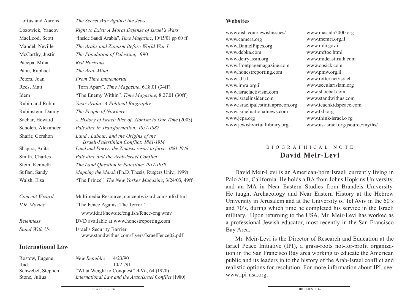| <b>Loftus and Aarons</b> | The Secret War Against the Jews                                                 |  |  |
|--------------------------|---------------------------------------------------------------------------------|--|--|
| Lozowick, Yaacov         | Right to Exist: A Moral Defense of Israel's Wars                                |  |  |
| MacLeod, Scott           | "Inside Saudi Arabia", Time Magazine, 10/15/01 pp 60 ff                         |  |  |
| Mandel, Neville          | The Arabs and Zionism Before World War I                                        |  |  |
| McCarthy, Justin         | The Population of Palestine, 1990                                               |  |  |
| Pacepa, Mihai            | Red Horizons                                                                    |  |  |
| Patai, Raphael           | The Arab Mind                                                                   |  |  |
| Peters, Joan             | From Time Immemorial                                                            |  |  |
| Rees, Matt               | "Torn Apart", Time Magazine, 6.18.01 (34ff)                                     |  |  |
| Idem                     | "The Enemy Within", Time Magazine, 8.27.01 (30ff)                               |  |  |
| Rubin and Rubin          | Yasir Arafat: A Political Biography                                             |  |  |
| Rubinstein, Danny        | The People of Nowhere                                                           |  |  |
| Sachar, Howard           | A History of Israel: Rise of Zionism to Our Time (2003)                         |  |  |
| Scholch, Alexander       | Palestine in Transformation: 1857-1882                                          |  |  |
| Shafir, Gershon          | Land, Labour, and the Origins of the<br>Israeli-Palestinian Conflict: 1881-1914 |  |  |
| Shapira, Anita           | Land and Power: the Zionists resort to force: 1881-1948                         |  |  |
| Smith, Charles           | Palestine and the Arab-Israel Conflict                                          |  |  |
| Stein, Kenneth           | The Land Question in Palestine: 1917-1939                                       |  |  |
| Sufian, Sandy            | Mapping the Marsh (Ph.D. Thesis, Rutgers Univ., 1999)                           |  |  |
| Walsh, Elsa              | "The Prince", The New Yorker Magazine, 3/24/03, 49ff                            |  |  |
| Concept Wizard           | Multimedia Resource, conceptwizard.com/info.html                                |  |  |
| <b>IDF</b> Movies        | "The Fence Against The Terror"                                                  |  |  |
|                          | www.idf.il/newsite/english/fence-eng.wmv                                        |  |  |
| Relentless               | DVD available at www.honestreporting.com                                        |  |  |
| Stand With Us            | Israel's Security Barrier<br>www.standwithus.com/flyers/IsraelFence02.pdf       |  |  |

#### **International Law**

| Rostow, Eugene    | New Republic                                          | 4/23/90  |  |
|-------------------|-------------------------------------------------------|----------|--|
| Ibid.             |                                                       | 10/21/91 |  |
| Schwebel, Stephen | "What Weight to Conquest" AJIL, 64 (1970)             |          |  |
| Stone, Julius     | International Law and the Arab:Israel Conflict (1980) |          |  |
|                   |                                                       |          |  |

#### **Websites** ľ

www.aish.com/jewishissues/ www.camera.org www.DanielPipes.org www.debka.com www.deiryassin.org www.frontpagemagazine.com www.honestreporting.com www.idf.il www.imra.org.il www.israelactivism.com www.israelinsider.com www.israelipalestinianprocon.org www.israelnationalnews.com www.jcpa.org www.jewishvirtuallibrary.org

www.masada2000.org www.memri.org.il www.mfa.gov.il www.mftoc.html www.mideasttruth.com www.opsick.com www.pmw.org.il www.rotter.net/israel www.secularislam.org www.shoebat.com www.standwithus.com www.teachkidspeace.com www.tkb.org www.think-israel.o rg www.us-israel.org/jsource/myths/

#### B IOGRAPHICAL N OTE **David Meir-Levi**

David Meir-Levi is an American-born Israeli currently living in Palo Alto, California. He holds a BA from Johns Hopkins University, and an MA in Near Eastern Studies from Brandeis University. He taught Archaeology and Near Eastern History at the Hebrew University in Jerusalem and at the University of Tel Aviv in the 60's and 70's, during which time he completed his service in the Israeli military. Upon returning to the USA, Mr. Meir-Levi has worked as a professional Jewish educator, most recently in the San Francisco Bay Area.

Mr. Meir-Levi is the Director of Research and Education at the Israel Peace Initiative (IPI), a grass-roots not-for-profit organization in the San Francisco Bay area working to educate the American public and its leaders in to the history of the Arab-Israel conflict and realistic options for resolution. For more information about IPI, see: www.ipi-usa.org.